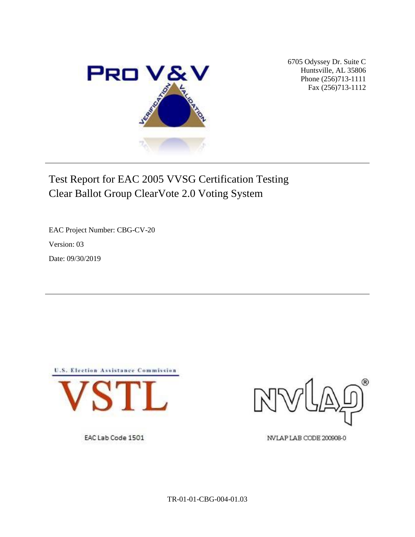

6705 Odyssey Dr. Suite C Huntsville, AL 35806 Phone (256)713-1111 Fax (256)713-1112

# Test Report for EAC 2005 VVSG Certification Testing Clear Ballot Group ClearVote 2.0 Voting System

EAC Project Number: CBG-CV-20 Version: 03 Date: 09/30/2019



EAC Lab Code 1501



NVLAP LAB CODE 200908-0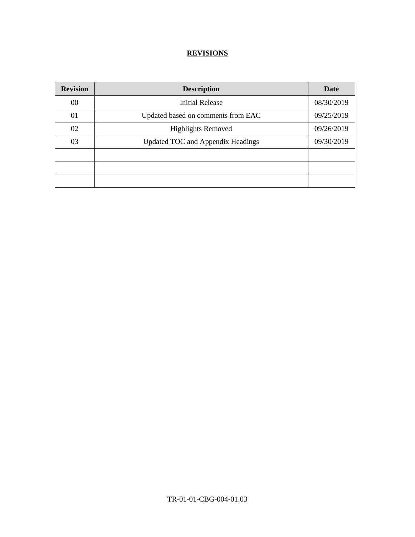## **REVISIONS**

| <b>Revision</b> | <b>Description</b>                 | Date       |
|-----------------|------------------------------------|------------|
| 00              | <b>Initial Release</b>             | 08/30/2019 |
| 01              | Updated based on comments from EAC | 09/25/2019 |
| 02              | <b>Highlights Removed</b>          | 09/26/2019 |
| 03              | Updated TOC and Appendix Headings  | 09/30/2019 |
|                 |                                    |            |
|                 |                                    |            |
|                 |                                    |            |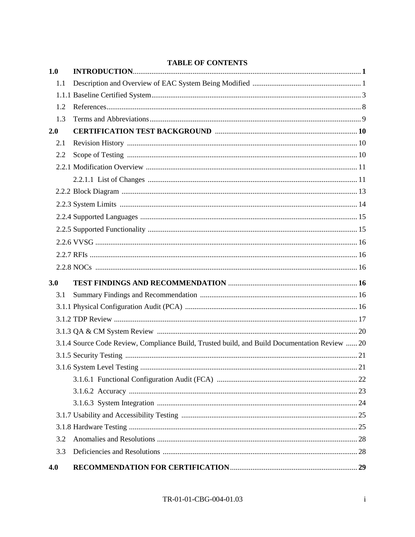| 1.0 | THEFT OF CONTENTS                                                                             |    |
|-----|-----------------------------------------------------------------------------------------------|----|
| 1.1 |                                                                                               |    |
|     |                                                                                               |    |
| 1.2 |                                                                                               |    |
| 1.3 |                                                                                               |    |
| 2.0 |                                                                                               |    |
| 2.1 |                                                                                               |    |
| 2.2 |                                                                                               |    |
|     |                                                                                               |    |
|     |                                                                                               |    |
|     |                                                                                               |    |
|     |                                                                                               |    |
|     |                                                                                               |    |
|     |                                                                                               |    |
|     |                                                                                               |    |
|     |                                                                                               |    |
|     |                                                                                               |    |
| 3.0 |                                                                                               |    |
| 3.1 |                                                                                               |    |
|     |                                                                                               |    |
|     |                                                                                               |    |
|     |                                                                                               |    |
|     | 3.1.4 Source Code Review, Compliance Build, Trusted build, and Build Documentation Review  20 |    |
|     |                                                                                               |    |
|     |                                                                                               | 21 |
|     |                                                                                               |    |
|     |                                                                                               |    |
|     |                                                                                               |    |
|     |                                                                                               |    |
|     |                                                                                               |    |
| 3.2 |                                                                                               |    |
| 3.3 |                                                                                               |    |
| 4.0 |                                                                                               |    |

#### **TABLE OF CONTENTS**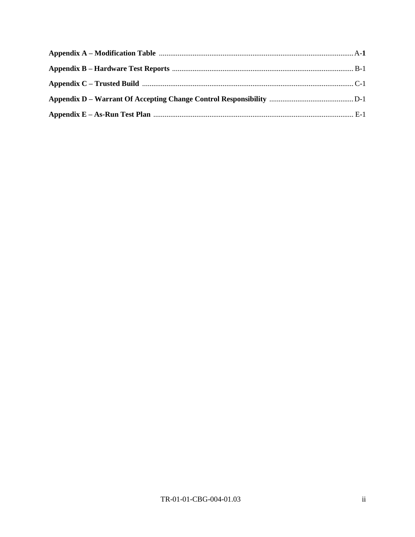| Appendix C – Trusted Build manufactured manufactured by C-1 |  |
|-------------------------------------------------------------|--|
|                                                             |  |
|                                                             |  |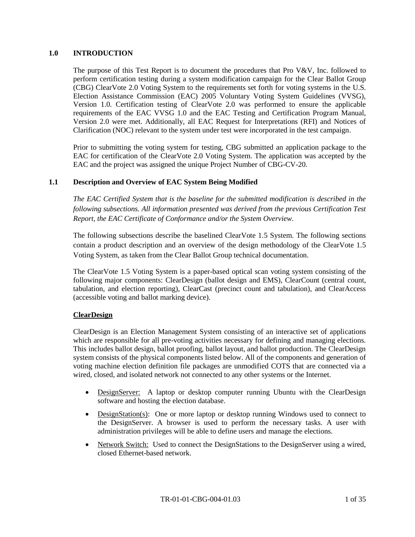#### **1.0 INTRODUCTION**

The purpose of this Test Report is to document the procedures that Pro V&V, Inc. followed to perform certification testing during a system modification campaign for the Clear Ballot Group (CBG) ClearVote 2.0 Voting System to the requirements set forth for voting systems in the U.S. Election Assistance Commission (EAC) 2005 Voluntary Voting System Guidelines (VVSG), Version 1.0. Certification testing of ClearVote 2.0 was performed to ensure the applicable requirements of the EAC VVSG 1.0 and the EAC Testing and Certification Program Manual, Version 2.0 were met. Additionally, all EAC Request for Interpretations (RFI) and Notices of Clarification (NOC) relevant to the system under test were incorporated in the test campaign.

Prior to submitting the voting system for testing, CBG submitted an application package to the EAC for certification of the ClearVote 2.0 Voting System. The application was accepted by the EAC and the project was assigned the unique Project Number of CBG-CV-20.

### **1.1 Description and Overview of EAC System Being Modified**

*The EAC Certified System that is the baseline for the submitted modification is described in the following subsections. All information presented was derived from the previous Certification Test Report, the EAC Certificate of Conformance and/or the System Overview.*

The following subsections describe the baselined ClearVote 1.5 System. The following sections contain a product description and an overview of the design methodology of the ClearVote 1.5 Voting System, as taken from the Clear Ballot Group technical documentation.

The ClearVote 1.5 Voting System is a paper-based optical scan voting system consisting of the following major components: ClearDesign (ballot design and EMS), ClearCount (central count, tabulation, and election reporting), ClearCast (precinct count and tabulation), and ClearAccess (accessible voting and ballot marking device).

#### **ClearDesign**

ClearDesign is an Election Management System consisting of an interactive set of applications which are responsible for all pre-voting activities necessary for defining and managing elections. This includes ballot design, ballot proofing, ballot layout, and ballot production. The ClearDesign system consists of the physical components listed below. All of the components and generation of voting machine election definition file packages are unmodified COTS that are connected via a wired, closed, and isolated network not connected to any other systems or the Internet.

- DesignServer: A laptop or desktop computer running Ubuntu with the ClearDesign software and hosting the election database.
- DesignStation(s): One or more laptop or desktop running Windows used to connect to the DesignServer. A browser is used to perform the necessary tasks. A user with administration privileges will be able to define users and manage the elections.
- Network Switch: Used to connect the DesignStations to the DesignServer using a wired, closed Ethernet-based network.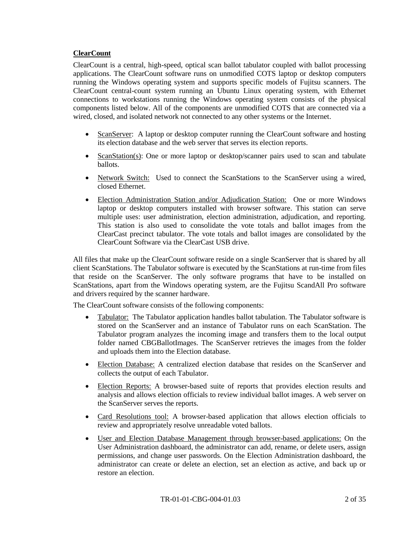### **ClearCount**

ClearCount is a central, high-speed, optical scan ballot tabulator coupled with ballot processing applications. The ClearCount software runs on unmodified COTS laptop or desktop computers running the Windows operating system and supports specific models of Fujitsu scanners. The ClearCount central-count system running an Ubuntu Linux operating system, with Ethernet connections to workstations running the Windows operating system consists of the physical components listed below. All of the components are unmodified COTS that are connected via a wired, closed, and isolated network not connected to any other systems or the Internet.

- ScanServer: A laptop or desktop computer running the ClearCount software and hosting its election database and the web server that serves its election reports.
- ScanStation(s): One or more laptop or desktop/scanner pairs used to scan and tabulate ballots.
- Network Switch: Used to connect the ScanStations to the ScanServer using a wired, closed Ethernet.
- Election Administration Station and/or Adjudication Station: One or more Windows laptop or desktop computers installed with browser software. This station can serve multiple uses: user administration, election administration, adjudication, and reporting. This station is also used to consolidate the vote totals and ballot images from the ClearCast precinct tabulator. The vote totals and ballot images are consolidated by the ClearCount Software via the ClearCast USB drive.

All files that make up the ClearCount software reside on a single ScanServer that is shared by all client ScanStations. The Tabulator software is executed by the ScanStations at run-time from files that reside on the ScanServer. The only software programs that have to be installed on ScanStations, apart from the Windows operating system, are the Fujitsu ScandAll Pro software and drivers required by the scanner hardware.

The ClearCount software consists of the following components:

- Tabulator: The Tabulator application handles ballot tabulation. The Tabulator software is stored on the ScanServer and an instance of Tabulator runs on each ScanStation. The Tabulator program analyzes the incoming image and transfers them to the local output folder named CBGBallotImages. The ScanServer retrieves the images from the folder and uploads them into the Election database.
- Election Database: A centralized election database that resides on the ScanServer and collects the output of each Tabulator.
- Election Reports: A browser-based suite of reports that provides election results and analysis and allows election officials to review individual ballot images. A web server on the ScanServer serves the reports.
- Card Resolutions tool: A browser-based application that allows election officials to review and appropriately resolve unreadable voted ballots.
- User and Election Database Management through browser-based applications: On the User Administration dashboard, the administrator can add, rename, or delete users, assign permissions, and change user passwords. On the Election Administration dashboard, the administrator can create or delete an election, set an election as active, and back up or restore an election.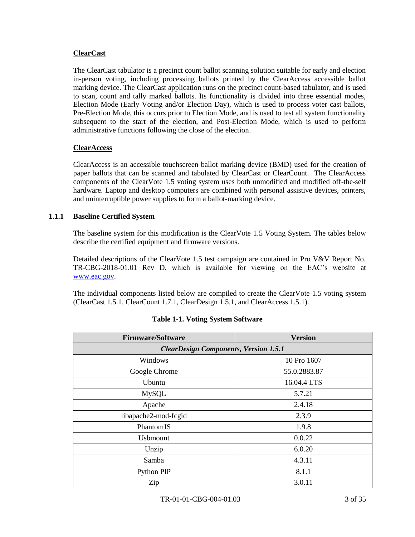#### **ClearCast**

The ClearCast tabulator is a precinct count ballot scanning solution suitable for early and election in-person voting, including processing ballots printed by the ClearAccess accessible ballot marking device. The ClearCast application runs on the precinct count-based tabulator, and is used to scan, count and tally marked ballots. Its functionality is divided into three essential modes, Election Mode (Early Voting and/or Election Day), which is used to process voter cast ballots, Pre-Election Mode, this occurs prior to Election Mode, and is used to test all system functionality subsequent to the start of the election, and Post-Election Mode, which is used to perform administrative functions following the close of the election.

### **ClearAccess**

ClearAccess is an accessible touchscreen ballot marking device (BMD) used for the creation of paper ballots that can be scanned and tabulated by ClearCast or ClearCount. The ClearAccess components of the ClearVote 1.5 voting system uses both unmodified and modified off-the-self hardware. Laptop and desktop computers are combined with personal assistive devices, printers, and uninterruptible power supplies to form a ballot-marking device.

### **1.1.1 Baseline Certified System**

The baseline system for this modification is the ClearVote 1.5 Voting System. The tables below describe the certified equipment and firmware versions.

Detailed descriptions of the ClearVote 1.5 test campaign are contained in Pro V&V Report No. TR-CBG-2018-01.01 Rev D, which is available for viewing on the EAC's website at [www.eac.gov.](http://www.eac.gov/)

The individual components listed below are compiled to create the ClearVote 1.5 voting system (ClearCast 1.5.1, ClearCount 1.7.1, ClearDesign 1.5.1, and ClearAccess 1.5.1).

| <b>Firmware/Software</b>                     | <b>Version</b> |  |  |
|----------------------------------------------|----------------|--|--|
| <b>ClearDesign Components, Version 1.5.1</b> |                |  |  |
| Windows                                      | 10 Pro 1607    |  |  |
| Google Chrome                                | 55.0.2883.87   |  |  |
| Ubuntu                                       | 16.04.4 LTS    |  |  |
| <b>MySQL</b>                                 | 5.7.21         |  |  |
| Apache                                       | 2.4.18         |  |  |
| libapache2-mod-fcgid                         | 2.3.9          |  |  |
| PhantomJS                                    | 1.9.8          |  |  |
| <b>U</b> sbmount                             | 0.0.22         |  |  |
| Unzip                                        | 6.0.20         |  |  |
| Samba                                        | 4.3.11         |  |  |
| Python PIP                                   | 8.1.1          |  |  |
| Zip                                          | 3.0.11         |  |  |

|  | <b>Table 1-1. Voting System Software</b> |
|--|------------------------------------------|
|--|------------------------------------------|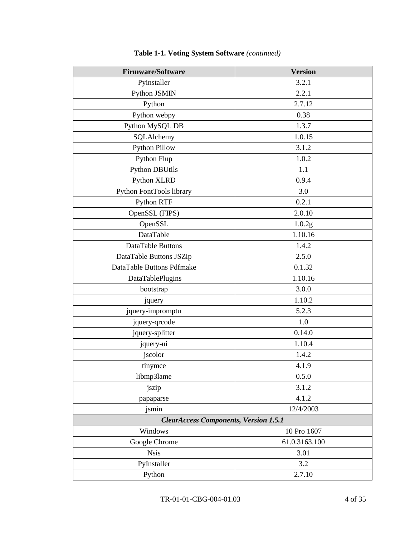| <b>Firmware/Software</b>                     | <b>Version</b> |  |  |
|----------------------------------------------|----------------|--|--|
| Pyinstaller                                  | 3.2.1          |  |  |
| Python JSMIN                                 | 2.2.1          |  |  |
| Python                                       | 2.7.12         |  |  |
| Python webpy                                 | 0.38           |  |  |
| Python MySQL DB                              | 1.3.7          |  |  |
| SQLAlchemy                                   | 1.0.15         |  |  |
| <b>Python Pillow</b>                         | 3.1.2          |  |  |
| Python Flup                                  | 1.0.2          |  |  |
| <b>Python DBUtils</b>                        | 1.1            |  |  |
| Python XLRD                                  | 0.9.4          |  |  |
| Python FontTools library                     | 3.0            |  |  |
| Python RTF                                   | 0.2.1          |  |  |
| OpenSSL (FIPS)                               | 2.0.10         |  |  |
| OpenSSL                                      | 1.0.2g         |  |  |
| DataTable                                    | 1.10.16        |  |  |
| DataTable Buttons                            | 1.4.2          |  |  |
| DataTable Buttons JSZip                      | 2.5.0          |  |  |
| DataTable Buttons Pdfmake                    | 0.1.32         |  |  |
| DataTablePlugins                             | 1.10.16        |  |  |
| bootstrap                                    | 3.0.0          |  |  |
| jquery                                       | 1.10.2         |  |  |
| jquery-impromptu                             | 5.2.3          |  |  |
| jquery-qrcode                                | 1.0            |  |  |
| jquery-splitter                              | 0.14.0         |  |  |
| jquery-ui                                    | 1.10.4         |  |  |
| jscolor                                      | 1.4.2          |  |  |
| tinymce                                      | 4.1.9          |  |  |
| libmp3lame                                   | 0.5.0          |  |  |
| jszip                                        | 3.1.2          |  |  |
| papaparse                                    | 4.1.2          |  |  |
| jsmin                                        | 12/4/2003      |  |  |
| <b>ClearAccess Components, Version 1.5.1</b> |                |  |  |
| Windows                                      | 10 Pro 1607    |  |  |
| Google Chrome                                | 61.0.3163.100  |  |  |
| <b>Nsis</b>                                  | 3.01           |  |  |
| PyInstaller                                  | 3.2            |  |  |
| Python                                       | 2.7.10         |  |  |

# **Table 1-1. Voting System Software** *(continued)*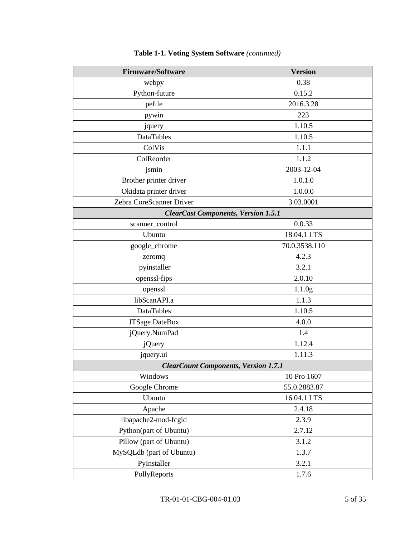| <b>Firmware/Software</b>                    | <b>Version</b>     |  |  |  |
|---------------------------------------------|--------------------|--|--|--|
| webpy                                       | 0.38               |  |  |  |
| Python-future                               | 0.15.2             |  |  |  |
| pefile                                      | 2016.3.28          |  |  |  |
| pywin                                       | 223                |  |  |  |
| jquery                                      | 1.10.5             |  |  |  |
| <b>DataTables</b>                           | 1.10.5             |  |  |  |
| ColVis                                      | 1.1.1              |  |  |  |
| ColReorder                                  | 1.1.2              |  |  |  |
| jsmin                                       | 2003-12-04         |  |  |  |
| Brother printer driver                      | 1.0.1.0            |  |  |  |
| Okidata printer driver                      | 1.0.0.0            |  |  |  |
| Zebra CoreScanner Driver                    | 3.03.0001          |  |  |  |
| <b>ClearCast Components, Version 1.5.1</b>  |                    |  |  |  |
| scanner_control                             | 0.0.33             |  |  |  |
| Ubuntu                                      | 18.04.1 LTS        |  |  |  |
| google_chrome                               | 70.0.3538.110      |  |  |  |
| zeromq                                      | 4.2.3              |  |  |  |
| pyinstaller                                 | 3.2.1              |  |  |  |
| openssl-fips                                | 2.0.10             |  |  |  |
| openssl                                     | 1.1.0 <sub>g</sub> |  |  |  |
| libScanAPI.a                                | 1.1.3              |  |  |  |
| DataTables                                  | 1.10.5             |  |  |  |
| JTSage DateBox                              | 4.0.0              |  |  |  |
| jQuery.NumPad                               | 1.4                |  |  |  |
| <i>j</i> Query                              | 1.12.4             |  |  |  |
| jquery.ui                                   | 1.11.3             |  |  |  |
| <b>ClearCount Components, Version 1.7.1</b> |                    |  |  |  |
| Windows                                     | 10 Pro 1607        |  |  |  |
| Google Chrome                               | 55.0.2883.87       |  |  |  |
| Ubuntu                                      | 16.04.1 LTS        |  |  |  |
| Apache                                      | 2.4.18             |  |  |  |
| libapache2-mod-fcgid                        | 2.3.9              |  |  |  |
| Python(part of Ubuntu)                      | 2.7.12             |  |  |  |
| Pillow (part of Ubuntu)                     | 3.1.2              |  |  |  |
| MySQLdb (part of Ubuntu)                    | 1.3.7              |  |  |  |
| PyInstaller                                 | 3.2.1              |  |  |  |
| PollyReports                                | 1.7.6              |  |  |  |

# **Table 1-1. Voting System Software** *(continued)*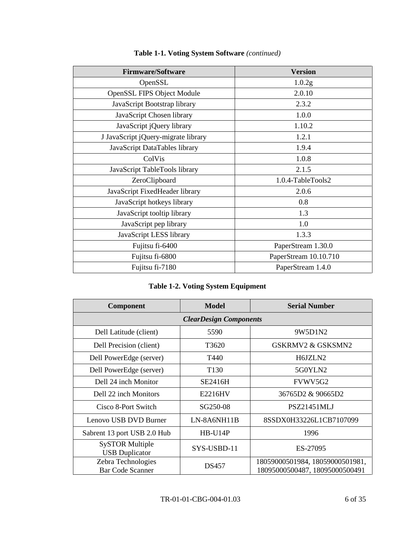| <b>Firmware/Software</b>            | <b>Version</b>        |
|-------------------------------------|-----------------------|
| OpenSSL                             | 1.0.2g                |
| <b>OpenSSL FIPS Object Module</b>   | 2.0.10                |
| JavaScript Bootstrap library        | 2.3.2                 |
| JavaScript Chosen library           | 1.0.0                 |
| JavaScript jQuery library           | 1.10.2                |
| J JavaScript jQuery-migrate library | 1.2.1                 |
| JavaScript DataTables library       | 1.9.4                 |
| ColVis                              | 1.0.8                 |
| JavaScript TableTools library       | 2.1.5                 |
| ZeroClipboard                       | 1.0.4-TableTools2     |
| JavaScript FixedHeader library      | 2.0.6                 |
| JavaScript hotkeys library          | 0.8                   |
| JavaScript tooltip library          | 1.3                   |
| JavaScript pep library              | 1.0                   |
| JavaScript LESS library             | 1.3.3                 |
| Fujitsu fi-6400                     | PaperStream 1.30.0    |
| Fujitsu fi-6800                     | PaperStream 10.10.710 |
| Fujitsu fi-7180                     | PaperStream 1.4.0     |

# **Table 1-1. Voting System Software** *(continued)*

|  | <b>Table 1-2. Voting System Equipment</b> |  |
|--|-------------------------------------------|--|
|  |                                           |  |

| Component                                       | <b>Model</b>     | <b>Serial Number</b>                                              |  |
|-------------------------------------------------|------------------|-------------------------------------------------------------------|--|
| <b>ClearDesign Components</b>                   |                  |                                                                   |  |
| Dell Latitude (client)                          | 5590             | 9W5D1N2                                                           |  |
| Dell Precision (client)                         | T3620            | GSKRMV2 & GSKSMN2                                                 |  |
| Dell PowerEdge (server)                         | T440             | H6JZLN2                                                           |  |
| Dell PowerEdge (server)                         | T <sub>130</sub> | 5G0YLN2                                                           |  |
| Dell 24 inch Monitor                            | SE2416H          | FVWV5G2                                                           |  |
| Dell 22 inch Monitors                           | E2216HV          | 36765D2 & 90665D2                                                 |  |
| Cisco 8-Port Switch                             | SG250-08         | <b>PSZ21451MLJ</b>                                                |  |
| Lenovo USB DVD Burner                           | $LN-8A6NH11B$    | 8SSDX0H33226L1CB7107099                                           |  |
| Sabrent 13 port USB 2.0 Hub                     | HB-U14P          | 1996                                                              |  |
| <b>SySTOR Multiple</b><br><b>USB</b> Duplicator | SYS-USBD-11      | ES-27095                                                          |  |
| Zebra Technologies<br><b>Bar Code Scanner</b>   | <b>DS457</b>     | 18059000501984, 18059000501981,<br>18095000500487, 18095000500491 |  |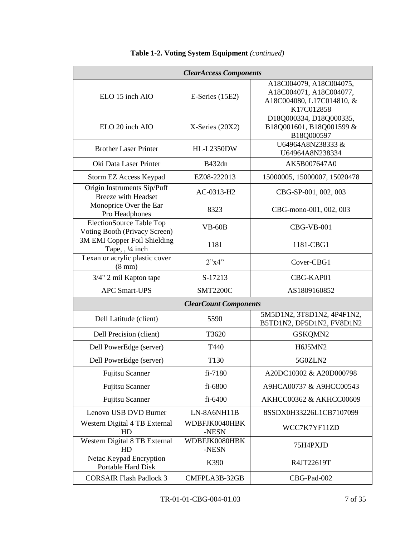| <b>ClearAccess Components</b>                                    |                              |                                                                                               |  |
|------------------------------------------------------------------|------------------------------|-----------------------------------------------------------------------------------------------|--|
| ELO 15 inch AIO                                                  | $E\text{-Series}$ (15E2)     | A18C004079, A18C004075,<br>A18C004071, A18C004077,<br>A18C004080, L17C014810, &<br>K17C012858 |  |
| ELO 20 inch AIO                                                  | $X$ -Series (20X2)           | D18Q000334, D18Q000335,<br>B18Q001601, B18Q001599 &<br>B18Q000597                             |  |
| <b>Brother Laser Printer</b>                                     | <b>HL-L2350DW</b>            | U64964A8N238333 &<br>U64964A8N238334                                                          |  |
| Oki Data Laser Printer                                           | B432dn                       | AK5B007647A0                                                                                  |  |
| Storm EZ Access Keypad                                           | EZ08-222013                  | 15000005, 15000007, 15020478                                                                  |  |
| Origin Instruments Sip/Puff<br><b>Breeze</b> with Headset        | AC-0313-H2                   | CBG-SP-001, 002, 003                                                                          |  |
| Monoprice Over the Ear<br>Pro Headphones                         | 8323                         | CBG-mono-001, 002, 003                                                                        |  |
| <b>ElectionSource Table Top</b><br>Voting Booth (Privacy Screen) | $VB-60B$                     | $CBG-VB-001$                                                                                  |  |
| 3M EMI Copper Foil Shielding<br>Tape, , 1/4 inch                 | 1181                         | 1181-CBG1                                                                                     |  |
| Lexan or acrylic plastic cover<br>$(8 \text{ mm})$               | 2"x4"                        | Cover-CBG1                                                                                    |  |
| 3/4" 2 mil Kapton tape                                           | S-17213                      | CBG-KAP01                                                                                     |  |
| <b>APC Smart-UPS</b>                                             | <b>SMT2200C</b>              | AS1809160852                                                                                  |  |
|                                                                  | <b>ClearCount Components</b> |                                                                                               |  |
| Dell Latitude (client)                                           | 5590                         | 5M5D1N2, 3T8D1N2, 4P4F1N2,<br>B5TD1N2, DP5D1N2, FV8D1N2                                       |  |
| Dell Precision (client)                                          | T3620                        | GSKQMN2                                                                                       |  |
| Dell PowerEdge (server)                                          | T440                         | H6J5MN2                                                                                       |  |
| Dell PowerEdge (server)                                          | T130                         | 5G0ZLN2                                                                                       |  |
| Fujitsu Scanner                                                  | fi-7180                      | A20DC10302 & A20D000798                                                                       |  |
| Fujitsu Scanner                                                  | fi-6800                      | A9HCA00737 & A9HCC00543                                                                       |  |
| <b>Fujitsu Scanner</b>                                           | fi-6400                      | AKHCC00362 & AKHCC00609                                                                       |  |
| Lenovo USB DVD Burner                                            | LN-8A6NH11B                  | 8SSDX0H33226L1CB7107099                                                                       |  |
| Western Digital 4 TB External<br>HD                              | WDBFJK0040HBK<br>-NESN       | WCC7K7YF11ZD                                                                                  |  |
| Western Digital 8 TB External<br>HD                              | WDBFJK0080HBK<br>-NESN       | 75H4PXJD                                                                                      |  |
| Netac Keypad Encryption<br>Portable Hard Disk                    | K390                         | R4JT22619T                                                                                    |  |
| <b>CORSAIR Flash Padlock 3</b>                                   | CMFPLA3B-32GB                | CBG-Pad-002                                                                                   |  |

# **Table 1-2. Voting System Equipment** *(continued)*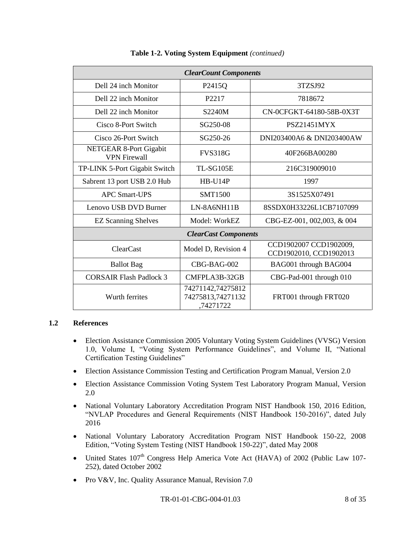| <b>ClearCount Components</b>                  |                                                     |                                                  |  |
|-----------------------------------------------|-----------------------------------------------------|--------------------------------------------------|--|
| Dell 24 inch Monitor                          | P <sub>2415</sub> Q                                 | 3TZSJ92                                          |  |
| Dell 22 inch Monitor                          | P <sub>2217</sub>                                   | 7818672                                          |  |
| Dell 22 inch Monitor                          | S2240M                                              | CN-0CFGKT-64180-58B-0X3T                         |  |
| Cisco 8-Port Switch                           | SG250-08                                            | <b>PSZ21451MYX</b>                               |  |
| Cisco 26-Port Switch                          | SG250-26                                            | DNI203400A6 & DNI203400AW                        |  |
| NETGEAR 8-Port Gigabit<br><b>VPN Firewall</b> | <b>FVS318G</b>                                      | 40F266BA00280                                    |  |
| TP-LINK 5-Port Gigabit Switch                 | TL-SG105E                                           | 216C319009010                                    |  |
| Sabrent 13 port USB 2.0 Hub                   | $HB$ -U14P                                          | 1997                                             |  |
| <b>APC Smart-UPS</b>                          | <b>SMT1500</b>                                      | 3S1525X07491                                     |  |
| Lenovo USB DVD Burner                         | LN-8A6NH11B                                         | 8SSDX0H33226L1CB7107099                          |  |
| <b>EZ Scanning Shelves</b>                    | Model: WorkEZ                                       | CBG-EZ-001, 002,003, & 004                       |  |
| <b>ClearCast Components</b>                   |                                                     |                                                  |  |
| <b>ClearCast</b>                              | Model D, Revision 4                                 | CCD1902007 CCD1902009,<br>CCD1902010, CCD1902013 |  |
| <b>Ballot</b> Bag                             | CBG-BAG-002                                         | BAG001 through BAG004                            |  |
| <b>CORSAIR Flash Padlock 3</b>                | CMFPLA3B-32GB                                       | CBG-Pad-001 through 010                          |  |
| Wurth ferrites                                | 74271142,74275812<br>74275813,74271132<br>,74271722 | FRT001 through FRT020                            |  |

#### **Table 1-2. Voting System Equipment** *(continued)*

#### **1.2 References**

- Election Assistance Commission 2005 Voluntary Voting System Guidelines (VVSG) Version 1.0, Volume I, "Voting System Performance Guidelines", and Volume II, "National Certification Testing Guidelines"
- Election Assistance Commission Testing and Certification Program Manual, Version 2.0
- Election Assistance Commission Voting System Test Laboratory Program Manual, Version 2.0
- National Voluntary Laboratory Accreditation Program NIST Handbook 150, 2016 Edition, "NVLAP Procedures and General Requirements (NIST Handbook 150-2016)", dated July 2016
- National Voluntary Laboratory Accreditation Program NIST Handbook 150-22, 2008 Edition, "Voting System Testing (NIST Handbook 150-22)", dated May 2008
- United States 107<sup>th</sup> Congress Help America Vote Act (HAVA) of 2002 (Public Law 107-252), dated October 2002
- Pro V&V, Inc. Quality Assurance Manual, Revision 7.0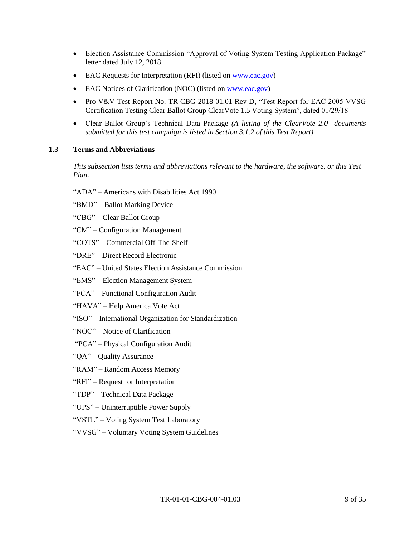- Election Assistance Commission "Approval of Voting System Testing Application Package" letter dated July 12, 2018
- EAC Requests for Interpretation (RFI) (listed on [www.eac.gov\)](http://www.eac.gov/)
- EAC Notices of Clarification (NOC) (listed o[n www.eac.gov\)](http://www.eac.gov/)
- Pro V&V Test Report No. TR-CBG-2018-01.01 Rev D, "Test Report for EAC 2005 VVSG Certification Testing Clear Ballot Group ClearVote 1.5 Voting System", dated 01/29/18
- Clear Ballot Group's Technical Data Package *(A listing of the ClearVote 2.0 documents submitted for this test campaign is listed in Section 3.1.2 of this Test Report)*

#### **1.3 Terms and Abbreviations**

*This subsection lists terms and abbreviations relevant to the hardware, the software, or this Test Plan.*

- "ADA" Americans with Disabilities Act 1990
- "BMD" Ballot Marking Device
- "CBG" Clear Ballot Group
- "CM" Configuration Management
- "COTS" Commercial Off-The-Shelf
- "DRE" Direct Record Electronic
- "EAC" United States Election Assistance Commission
- "EMS" Election Management System
- "FCA" Functional Configuration Audit
- "HAVA" Help America Vote Act
- "ISO" International Organization for Standardization
- "NOC" Notice of Clarification
- "PCA" Physical Configuration Audit
- "QA" Quality Assurance
- "RAM" Random Access Memory
- "RFI" Request for Interpretation
- "TDP" Technical Data Package
- "UPS" Uninterruptible Power Supply
- "VSTL" Voting System Test Laboratory
- "VVSG" Voluntary Voting System Guidelines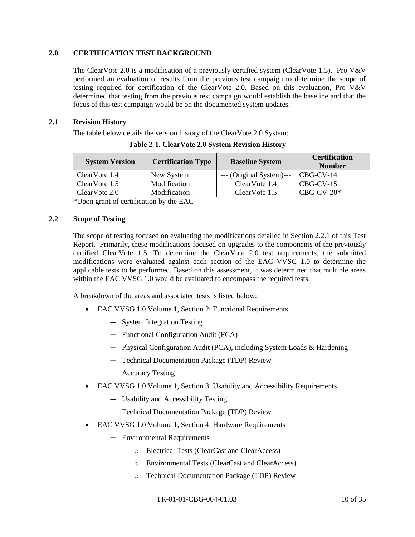### **2.0 CERTIFICATION TEST BACKGROUND**

The ClearVote 2.0 is a modification of a previously certified system (ClearVote 1.5). Pro V&V performed an evaluation of results from the previous test campaign to determine the scope of testing required for certification of the ClearVote 2.0. Based on this evaluation, Pro V&V determined that testing from the previous test campaign would establish the baseline and that the focus of this test campaign would be on the documented system updates.

#### **2.1 Revision History**

The table below details the version history of the ClearVote 2.0 System:

| <b>System Version</b> | <b>Certification Type</b> | <b>Baseline System</b>   | <b>Certification</b><br><b>Number</b> |
|-----------------------|---------------------------|--------------------------|---------------------------------------|
| ClearVote 1.4         | New System                | --- (Original System)--- | CBG-CV-14                             |
| ClearVote 1.5         | Modification              | ClearVote 1.4            | $CBG-CV-15$                           |
| ClearVote 2.0         | Modification              | ClearVote 1.5            | $CRG-CV-20*$                          |

**Table 2-1. ClearVote 2.0 System Revision History**

\*Upon grant of certification by the EAC

#### **2.2 Scope of Testing**

The scope of testing focused on evaluating the modifications detailed in Section 2.2.1 of this Test Report. Primarily, these modifications focused on upgrades to the components of the previously certified ClearVote 1.5. To determine the ClearVote 2.0 test requirements, the submitted modifications were evaluated against each section of the EAC VVSG 1.0 to determine the applicable tests to be performed. Based on this assessment, it was determined that multiple areas within the EAC VVSG 1.0 would be evaluated to encompass the required tests.

A breakdown of the areas and associated tests is listed below:

- EAC VVSG 1.0 Volume 1, Section 2: Functional Requirements
	- ― System Integration Testing
	- ― Functional Configuration Audit (FCA)
	- ― Physical Configuration Audit (PCA), including System Loads & Hardening
	- ― Technical Documentation Package (TDP) Review
	- ― Accuracy Testing
- EAC VVSG 1.0 Volume 1, Section 3: Usability and Accessibility Requirements
	- ― Usability and Accessibility Testing
	- ― Technical Documentation Package (TDP) Review
- EAC VVSG 1.0 Volume 1, Section 4: Hardware Requirements
	- ― Environmental Requirements
		- o Electrical Tests (ClearCast and ClearAccess)
		- o Environmental Tests (ClearCast and ClearAccess)
		- o Technical Documentation Package (TDP) Review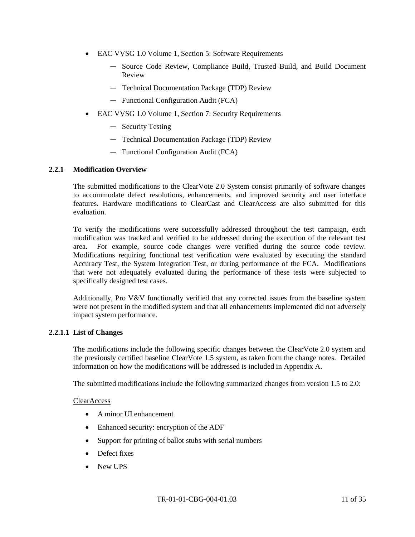- EAC VVSG 1.0 Volume 1, Section 5: Software Requirements
	- ― Source Code Review, Compliance Build, Trusted Build, and Build Document Review
	- ― Technical Documentation Package (TDP) Review
	- ― Functional Configuration Audit (FCA)
- EAC VVSG 1.0 Volume 1, Section 7: Security Requirements
	- ― Security Testing
	- ― Technical Documentation Package (TDP) Review
	- ― Functional Configuration Audit (FCA)

#### **2.2.1 Modification Overview**

The submitted modifications to the ClearVote 2.0 System consist primarily of software changes to accommodate defect resolutions, enhancements, and improved security and user interface features. Hardware modifications to ClearCast and ClearAccess are also submitted for this evaluation.

To verify the modifications were successfully addressed throughout the test campaign, each modification was tracked and verified to be addressed during the execution of the relevant test area. For example, source code changes were verified during the source code review. Modifications requiring functional test verification were evaluated by executing the standard Accuracy Test, the System Integration Test, or during performance of the FCA. Modifications that were not adequately evaluated during the performance of these tests were subjected to specifically designed test cases.

Additionally, Pro V&V functionally verified that any corrected issues from the baseline system were not present in the modified system and that all enhancements implemented did not adversely impact system performance.

#### **2.2.1.1 List of Changes**

The modifications include the following specific changes between the ClearVote 2.0 system and the previously certified baseline ClearVote 1.5 system, as taken from the change notes. Detailed information on how the modifications will be addressed is included in Appendix A.

The submitted modifications include the following summarized changes from version 1.5 to 2.0:

#### ClearAccess

- A minor UI enhancement
- Enhanced security: encryption of the ADF
- Support for printing of ballot stubs with serial numbers
- Defect fixes
- New UPS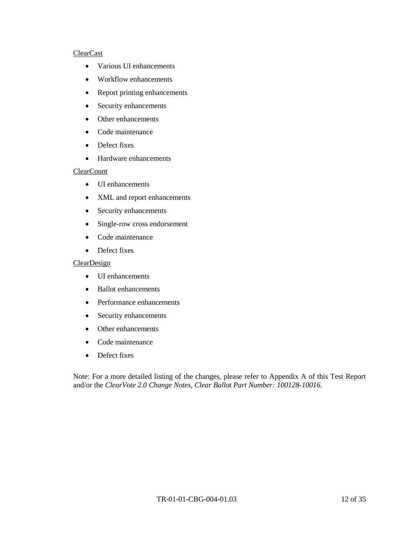#### ClearCast

- Various UI enhancements
- Workflow enhancements
- Report printing enhancements
- Security enhancements
- Other enhancements
- Code maintenance
- Defect fixes
- Hardware enhancements

#### **ClearCount**

- UI enhancements
- XML and report enhancements
- Security enhancements
- Single-row cross endorsement
- Code maintenance
- Defect fixes

#### ClearDesign

- UI enhancements
- Ballot enhancements
- Performance enhancements
- Security enhancements
- Other enhancements
- Code maintenance
- Defect fixes

Note: For a more detailed listing of the changes, please refer to Appendix A of this Test Report and/or the *ClearVote 2.0 Change Notes, Clear Ballot Part Number: 100128-10016*.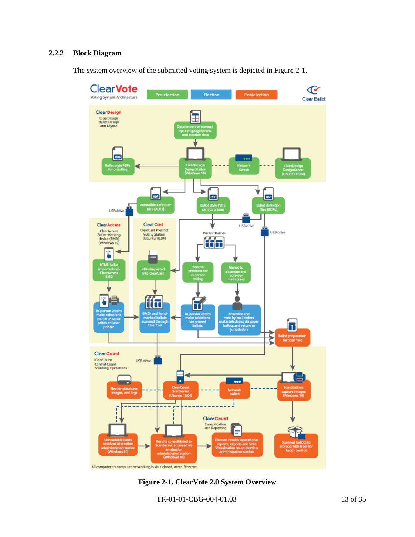### **2.2.2 Block Diagram**

The system overview of the submitted voting system is depicted in Figure 2-1.



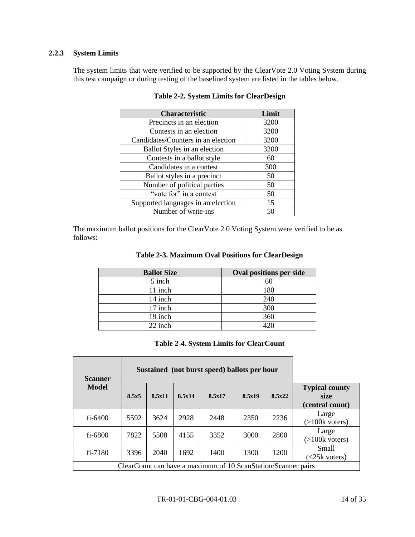### **2.2.3 System Limits**

The system limits that were verified to be supported by the ClearVote 2.0 Voting System during this test campaign or during testing of the baselined system are listed in the tables below.

| <b>Characteristic</b>              | Limit |
|------------------------------------|-------|
| Precincts in an election           | 3200  |
| Contests in an election            | 3200  |
| Candidates/Counters in an election | 3200  |
| Ballot Styles in an election       | 3200  |
| Contests in a ballot style         | 60    |
| Candidates in a contest            | 300   |
| Ballot styles in a precinct        | 50    |
| Number of political parties        | 50    |
| "vote for" in a contest            | 50    |
| Supported languages in an election | 15    |
| Number of write-ins                | 50    |

#### **Table 2-2. System Limits for ClearDesign**

The maximum ballot positions for the ClearVote 2.0 Voting System were verified to be as follows:

| <b>Ballot Size</b> | <b>Oval positions per side</b> |
|--------------------|--------------------------------|
| 5 inch             | 60                             |
| 11 inch            | 180                            |
| 14 inch            | 240                            |
| 17 inch            | 300                            |
| 19 inch            | 360                            |
| 22 inch            | $420 -$                        |

### **Table 2-3. Maximum Oval Positions for ClearDesign**

### **Table 2-4. System Limits for ClearCount**

| Sustained (not burst speed) ballots per hour<br><b>Scanner</b> |       |        |        |                                                               |        |        |                                                  |
|----------------------------------------------------------------|-------|--------|--------|---------------------------------------------------------------|--------|--------|--------------------------------------------------|
| Model                                                          | 8.5x5 | 8.5x11 | 8.5x14 | 8.5x17                                                        | 8.5x19 | 8.5x22 | <b>Typical county</b><br>size<br>(central count) |
| $fi - 6400$                                                    | 5592  | 3624   | 2928   | 2448                                                          | 2350   | 2236   | Large<br>$(>100k$ voters)                        |
| fi-6800                                                        | 7822  | 5508   | 4155   | 3352                                                          | 3000   | 2800   | Large<br>$(>100k$ voters)                        |
| $fi - 7180$                                                    | 3396  | 2040   | 1692   | 1400                                                          | 1300   | 1200   | Small<br>$\leq$ 25k voters)                      |
|                                                                |       |        |        | ClearCount can have a maximum of 10 ScanStation/Scanner pairs |        |        |                                                  |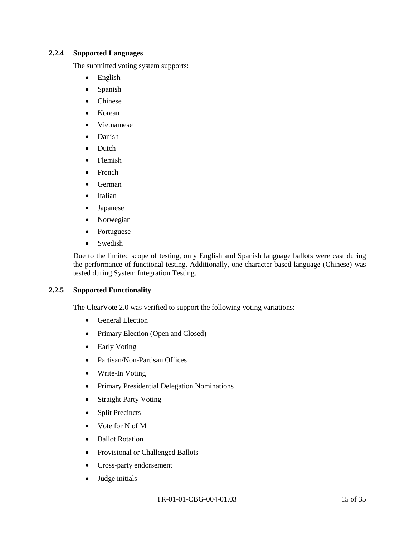#### **2.2.4 Supported Languages**

The submitted voting system supports:

- English
- Spanish
- Chinese
- Korean
- Vietnamese
- Danish
- Dutch
- Flemish
- French
- German
- Italian
- Japanese
- Norwegian
- Portuguese
- Swedish

Due to the limited scope of testing, only English and Spanish language ballots were cast during the performance of functional testing. Additionally, one character based language (Chinese) was tested during System Integration Testing.

#### **2.2.5 Supported Functionality**

The ClearVote 2.0 was verified to support the following voting variations:

- General Election
- Primary Election (Open and Closed)
- Early Voting
- Partisan/Non-Partisan Offices
- Write-In Voting
- Primary Presidential Delegation Nominations
- Straight Party Voting
- Split Precincts
- Vote for N of M
- Ballot Rotation
- Provisional or Challenged Ballots
- Cross-party endorsement
- Judge initials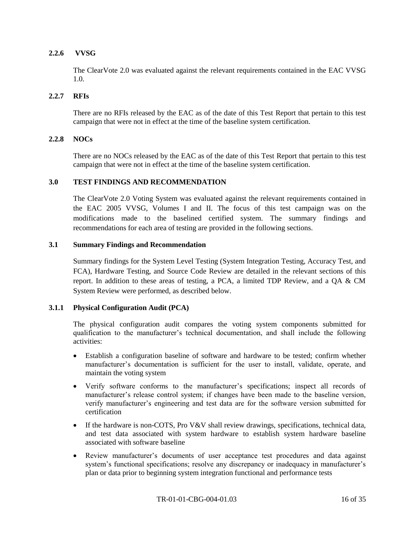### **2.2.6 VVSG**

The ClearVote 2.0 was evaluated against the relevant requirements contained in the EAC VVSG 1.0.

#### **2.2.7 RFIs**

There are no RFIs released by the EAC as of the date of this Test Report that pertain to this test campaign that were not in effect at the time of the baseline system certification.

#### **2.2.8 NOCs**

There are no NOCs released by the EAC as of the date of this Test Report that pertain to this test campaign that were not in effect at the time of the baseline system certification.

#### **3.0 TEST FINDINGS AND RECOMMENDATION**

The ClearVote 2.0 Voting System was evaluated against the relevant requirements contained in the EAC 2005 VVSG, Volumes I and II. The focus of this test campaign was on the modifications made to the baselined certified system. The summary findings and recommendations for each area of testing are provided in the following sections.

#### **3.1 Summary Findings and Recommendation**

Summary findings for the System Level Testing (System Integration Testing, Accuracy Test, and FCA), Hardware Testing, and Source Code Review are detailed in the relevant sections of this report. In addition to these areas of testing, a PCA, a limited TDP Review, and a QA & CM System Review were performed, as described below.

#### **3.1.1 Physical Configuration Audit (PCA)**

The physical configuration audit compares the voting system components submitted for qualification to the manufacturer's technical documentation, and shall include the following activities:

- Establish a configuration baseline of software and hardware to be tested; confirm whether manufacturer's documentation is sufficient for the user to install, validate, operate, and maintain the voting system
- Verify software conforms to the manufacturer's specifications; inspect all records of manufacturer's release control system; if changes have been made to the baseline version, verify manufacturer's engineering and test data are for the software version submitted for certification
- If the hardware is non-COTS, Pro V&V shall review drawings, specifications, technical data, and test data associated with system hardware to establish system hardware baseline associated with software baseline
- Review manufacturer's documents of user acceptance test procedures and data against system's functional specifications; resolve any discrepancy or inadequacy in manufacturer's plan or data prior to beginning system integration functional and performance tests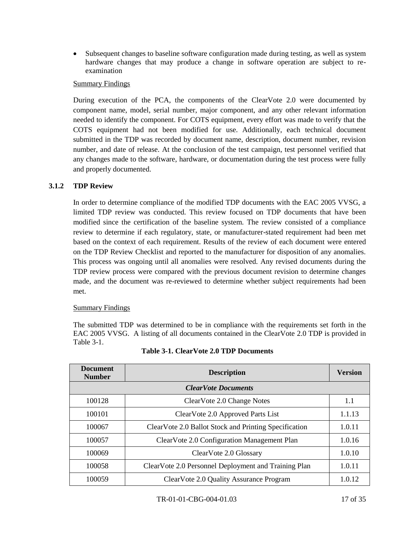Subsequent changes to baseline software configuration made during testing, as well as system hardware changes that may produce a change in software operation are subject to reexamination

### Summary Findings

During execution of the PCA, the components of the ClearVote 2.0 were documented by component name, model, serial number, major component, and any other relevant information needed to identify the component. For COTS equipment, every effort was made to verify that the COTS equipment had not been modified for use. Additionally, each technical document submitted in the TDP was recorded by document name, description, document number, revision number, and date of release. At the conclusion of the test campaign, test personnel verified that any changes made to the software, hardware, or documentation during the test process were fully and properly documented.

### **3.1.2 TDP Review**

In order to determine compliance of the modified TDP documents with the EAC 2005 VVSG, a limited TDP review was conducted. This review focused on TDP documents that have been modified since the certification of the baseline system. The review consisted of a compliance review to determine if each regulatory, state, or manufacturer-stated requirement had been met based on the context of each requirement. Results of the review of each document were entered on the TDP Review Checklist and reported to the manufacturer for disposition of any anomalies. This process was ongoing until all anomalies were resolved. Any revised documents during the TDP review process were compared with the previous document revision to determine changes made, and the document was re-reviewed to determine whether subject requirements had been met.

#### Summary Findings

The submitted TDP was determined to be in compliance with the requirements set forth in the EAC 2005 VVSG. A listing of all documents contained in the ClearVote 2.0 TDP is provided in Table 3-1.

| <b>Document</b><br><b>Number</b> | <b>Description</b>                                    | <b>Version</b> |  |  |
|----------------------------------|-------------------------------------------------------|----------------|--|--|
| <b>ClearVote Documents</b>       |                                                       |                |  |  |
| 100128                           | ClearVote 2.0 Change Notes                            | 1.1            |  |  |
| 100101                           | ClearVote 2.0 Approved Parts List                     | 1.1.13         |  |  |
| 100067                           | ClearVote 2.0 Ballot Stock and Printing Specification | 1.0.11         |  |  |
| 100057                           | ClearVote 2.0 Configuration Management Plan           | 1.0.16         |  |  |
| 100069                           | ClearVote 2.0 Glossary                                | 1.0.10         |  |  |
| 100058                           | ClearVote 2.0 Personnel Deployment and Training Plan  | 1.0.11         |  |  |
| 100059                           | ClearVote 2.0 Quality Assurance Program               | 1.0.12         |  |  |

|  |  |  |  | Table 3-1. ClearVote 2.0 TDP Documents |
|--|--|--|--|----------------------------------------|
|--|--|--|--|----------------------------------------|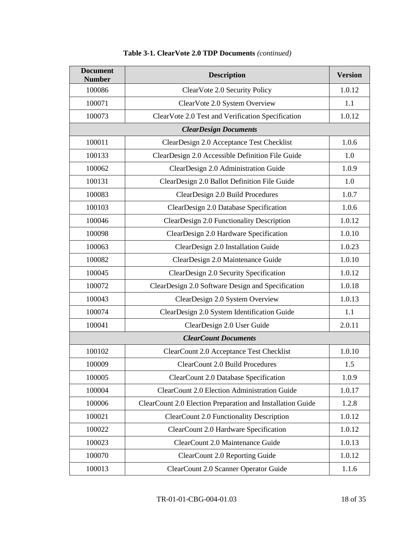| <b>Document</b><br><b>Number</b> | <b>Description</b>                                         | <b>Version</b> |
|----------------------------------|------------------------------------------------------------|----------------|
| 100086                           | ClearVote 2.0 Security Policy                              | 1.0.12         |
| 100071                           | ClearVote 2.0 System Overview                              | 1.1            |
| 100073                           | ClearVote 2.0 Test and Verification Specification          | 1.0.12         |
|                                  | <b>ClearDesign Documents</b>                               |                |
| 100011                           | ClearDesign 2.0 Acceptance Test Checklist                  | 1.0.6          |
| 100133                           | ClearDesign 2.0 Accessible Definition File Guide           | 1.0            |
| 100062                           | ClearDesign 2.0 Administration Guide                       | 1.0.9          |
| 100131                           | ClearDesign 2.0 Ballot Definition File Guide               | 1.0            |
| 100083                           | ClearDesign 2.0 Build Procedures                           | 1.0.7          |
| 100103                           | ClearDesign 2.0 Database Specification                     | 1.0.6          |
| 100046                           | ClearDesign 2.0 Functionality Description                  | 1.0.12         |
| 100098                           | ClearDesign 2.0 Hardware Specification                     | 1.0.10         |
| 100063                           | ClearDesign 2.0 Installation Guide                         | 1.0.23         |
| 100082                           | ClearDesign 2.0 Maintenance Guide                          | 1.0.10         |
| 100045                           | ClearDesign 2.0 Security Specification                     | 1.0.12         |
| 100072                           | ClearDesign 2.0 Software Design and Specification          | 1.0.18         |
| 100043                           | ClearDesign 2.0 System Overview                            | 1.0.13         |
| 100074                           | ClearDesign 2.0 System Identification Guide                | 1.1            |
| 100041                           | ClearDesign 2.0 User Guide                                 | 2.0.11         |
|                                  | <b>ClearCount Documents</b>                                |                |
| 100102                           | ClearCount 2.0 Acceptance Test Checklist                   | 1.0.10         |
| 100009                           | <b>ClearCount 2.0 Build Procedures</b>                     | 1.5            |
| 100005                           | ClearCount 2.0 Database Specification                      | 1.0.9          |
| 100004                           | ClearCount 2.0 Election Administration Guide               | 1.0.17         |
| 100006                           | ClearCount 2.0 Election Preparation and Installation Guide | 1.2.8          |
| 100021                           | <b>ClearCount 2.0 Functionality Description</b>            | 1.0.12         |
| 100022                           | ClearCount 2.0 Hardware Specification                      | 1.0.12         |
| 100023                           | ClearCount 2.0 Maintenance Guide                           | 1.0.13         |
| 100070                           | ClearCount 2.0 Reporting Guide                             | 1.0.12         |
| 100013                           | ClearCount 2.0 Scanner Operator Guide                      | 1.1.6          |

# **Table 3-1. ClearVote 2.0 TDP Documents** *(continued)*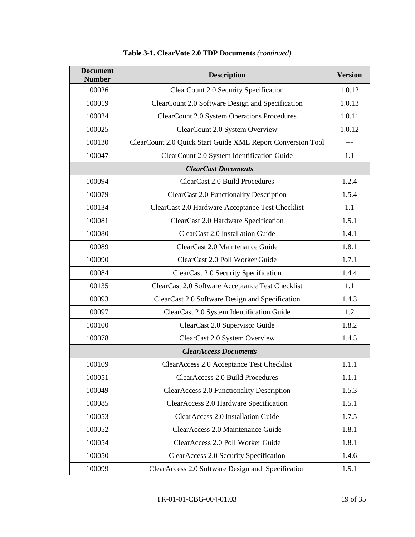| <b>Document</b><br><b>Number</b> | <b>Description</b>                                          | <b>Version</b> |
|----------------------------------|-------------------------------------------------------------|----------------|
| 100026                           | ClearCount 2.0 Security Specification                       | 1.0.12         |
| 100019                           | ClearCount 2.0 Software Design and Specification            | 1.0.13         |
| 100024                           | <b>ClearCount 2.0 System Operations Procedures</b>          | 1.0.11         |
| 100025                           | ClearCount 2.0 System Overview                              | 1.0.12         |
| 100130                           | ClearCount 2.0 Quick Start Guide XML Report Conversion Tool | $---$          |
| 100047                           | ClearCount 2.0 System Identification Guide                  | 1.1            |
|                                  | <b>ClearCast Documents</b>                                  |                |
| 100094                           | ClearCast 2.0 Build Procedures                              | 1.2.4          |
| 100079                           | <b>ClearCast 2.0 Functionality Description</b>              | 1.5.4          |
| 100134                           | ClearCast 2.0 Hardware Acceptance Test Checklist            | 1.1            |
| 100081                           | ClearCast 2.0 Hardware Specification                        | 1.5.1          |
| 100080                           | ClearCast 2.0 Installation Guide                            | 1.4.1          |
| 100089                           | ClearCast 2.0 Maintenance Guide                             | 1.8.1          |
| 100090                           | ClearCast 2.0 Poll Worker Guide                             | 1.7.1          |
| 100084                           | ClearCast 2.0 Security Specification                        | 1.4.4          |
| 100135                           | ClearCast 2.0 Software Acceptance Test Checklist            | 1.1            |
| 100093                           | ClearCast 2.0 Software Design and Specification             | 1.4.3          |
| 100097                           | ClearCast 2.0 System Identification Guide                   | 1.2            |
| 100100                           | ClearCast 2.0 Supervisor Guide                              | 1.8.2          |
| 100078                           | ClearCast 2.0 System Overview                               | 1.4.5          |
|                                  | <b>ClearAccess Documents</b>                                |                |
| 100109                           | ClearAccess 2.0 Acceptance Test Checklist                   | 1.1.1          |
| 100051                           | ClearAccess 2.0 Build Procedures                            | 1.1.1          |
| 100049                           | <b>ClearAccess 2.0 Functionality Description</b>            | 1.5.3          |
| 100085                           | ClearAccess 2.0 Hardware Specification                      | 1.5.1          |
| 100053                           | ClearAccess 2.0 Installation Guide                          | 1.7.5          |
| 100052                           | ClearAccess 2.0 Maintenance Guide                           | 1.8.1          |
| 100054                           | ClearAccess 2.0 Poll Worker Guide                           | 1.8.1          |
| 100050                           | ClearAccess 2.0 Security Specification                      | 1.4.6          |
| 100099                           | ClearAccess 2.0 Software Design and Specification           | 1.5.1          |

# **Table 3-1. ClearVote 2.0 TDP Documents** *(continued)*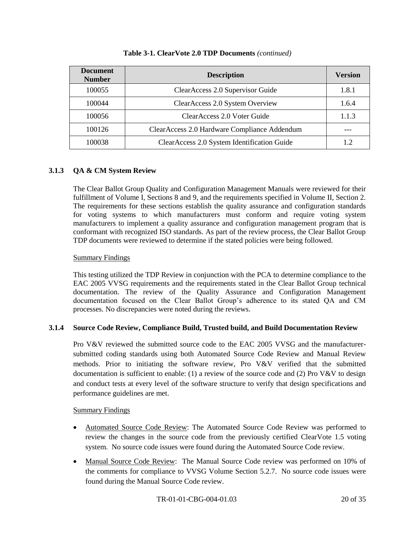| <b>Document</b><br><b>Number</b> | <b>Description</b>                           | <b>Version</b> |
|----------------------------------|----------------------------------------------|----------------|
| 100055                           | ClearAccess 2.0 Supervisor Guide             | 1.8.1          |
| 100044                           | ClearAccess 2.0 System Overview              | 1.6.4          |
| 100056                           | ClearAccess 2.0 Voter Guide                  | 1.1.3          |
| 100126                           | ClearAccess 2.0 Hardware Compliance Addendum |                |
| 100038                           | ClearAccess 2.0 System Identification Guide  | 12             |

### **Table 3-1. ClearVote 2.0 TDP Documents** *(continued)*

### **3.1.3 QA & CM System Review**

The Clear Ballot Group Quality and Configuration Management Manuals were reviewed for their fulfillment of Volume I, Sections 8 and 9, and the requirements specified in Volume II, Section 2. The requirements for these sections establish the quality assurance and configuration standards for voting systems to which manufacturers must conform and require voting system manufacturers to implement a quality assurance and configuration management program that is conformant with recognized ISO standards. As part of the review process, the Clear Ballot Group TDP documents were reviewed to determine if the stated policies were being followed.

### Summary Findings

This testing utilized the TDP Review in conjunction with the PCA to determine compliance to the EAC 2005 VVSG requirements and the requirements stated in the Clear Ballot Group technical documentation. The review of the Quality Assurance and Configuration Management documentation focused on the Clear Ballot Group's adherence to its stated QA and CM processes. No discrepancies were noted during the reviews.

#### **3.1.4 Source Code Review, Compliance Build, Trusted build, and Build Documentation Review**

Pro V&V reviewed the submitted source code to the EAC 2005 VVSG and the manufacturersubmitted coding standards using both Automated Source Code Review and Manual Review methods. Prior to initiating the software review, Pro V&V verified that the submitted documentation is sufficient to enable: (1) a review of the source code and (2) Pro V&V to design and conduct tests at every level of the software structure to verify that design specifications and performance guidelines are met.

#### Summary Findings

- Automated Source Code Review: The Automated Source Code Review was performed to review the changes in the source code from the previously certified ClearVote 1.5 voting system. No source code issues were found during the Automated Source Code review.
- Manual Source Code Review: The Manual Source Code review was performed on 10% of the comments for compliance to VVSG Volume Section 5.2.7. No source code issues were found during the Manual Source Code review.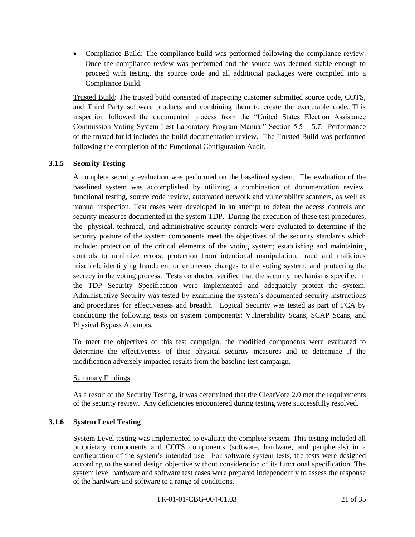Compliance Build: The compliance build was performed following the compliance review. Once the compliance review was performed and the source was deemed stable enough to proceed with testing, the source code and all additional packages were compiled into a Compliance Build.

Trusted Build: The trusted build consisted of inspecting customer submitted source code, COTS, and Third Party software products and combining them to create the executable code. This inspection followed the documented process from the "United States Election Assistance Commission Voting System Test Laboratory Program Manual" Section  $5.5 - 5.7$ . Performance of the trusted build includes the build documentation review. The Trusted Build was performed following the completion of the Functional Configuration Audit.

### **3.1.5 Security Testing**

A complete security evaluation was performed on the baselined system. The evaluation of the baselined system was accomplished by utilizing a combination of documentation review, functional testing, source code review, automated network and vulnerability scanners, as well as manual inspection. Test cases were developed in an attempt to defeat the access controls and security measures documented in the system TDP. During the execution of these test procedures, the physical, technical, and administrative security controls were evaluated to determine if the security posture of the system components meet the objectives of the security standards which include: protection of the critical elements of the voting system; establishing and maintaining controls to minimize errors; protection from intentional manipulation, fraud and malicious mischief; identifying fraudulent or erroneous changes to the voting system; and protecting the secrecy in the voting process. Tests conducted verified that the security mechanisms specified in the TDP Security Specification were implemented and adequately protect the system. Administrative Security was tested by examining the system's documented security instructions and procedures for effectiveness and breadth. Logical Security was tested as part of FCA by conducting the following tests on system components: Vulnerability Scans, SCAP Scans, and Physical Bypass Attempts.

To meet the objectives of this test campaign, the modified components were evaluated to determine the effectiveness of their physical security measures and to determine if the modification adversely impacted results from the baseline test campaign.

#### Summary Findings

As a result of the Security Testing, it was determined that the ClearVote 2.0 met the requirements of the security review. Any deficiencies encountered during testing were successfully resolved.

### **3.1.6 System Level Testing**

System Level testing was implemented to evaluate the complete system. This testing included all proprietary components and COTS components (software, hardware, and peripherals) in a configuration of the system's intended use. For software system tests, the tests were designed according to the stated design objective without consideration of its functional specification. The system level hardware and software test cases were prepared independently to assess the response of the hardware and software to a range of conditions.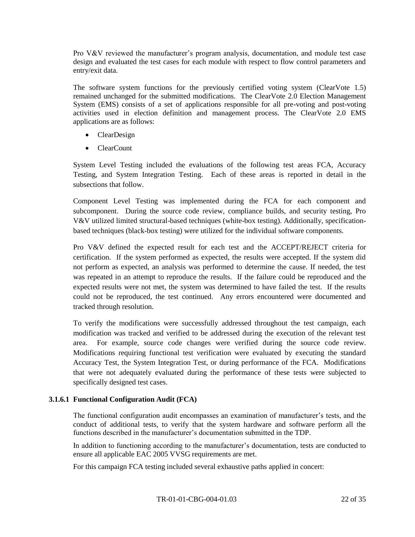Pro V&V reviewed the manufacturer's program analysis, documentation, and module test case design and evaluated the test cases for each module with respect to flow control parameters and entry/exit data.

The software system functions for the previously certified voting system (ClearVote 1.5) remained unchanged for the submitted modifications. The ClearVote 2.0 Election Management System (EMS) consists of a set of applications responsible for all pre-voting and post-voting activities used in election definition and management process. The ClearVote 2.0 EMS applications are as follows:

- ClearDesign
- ClearCount

System Level Testing included the evaluations of the following test areas FCA, Accuracy Testing, and System Integration Testing. Each of these areas is reported in detail in the subsections that follow.

Component Level Testing was implemented during the FCA for each component and subcomponent. During the source code review, compliance builds, and security testing, Pro V&V utilized limited structural-based techniques (white-box testing). Additionally, specificationbased techniques (black-box testing) were utilized for the individual software components.

Pro V&V defined the expected result for each test and the ACCEPT/REJECT criteria for certification. If the system performed as expected, the results were accepted. If the system did not perform as expected, an analysis was performed to determine the cause. If needed, the test was repeated in an attempt to reproduce the results. If the failure could be reproduced and the expected results were not met, the system was determined to have failed the test. If the results could not be reproduced, the test continued. Any errors encountered were documented and tracked through resolution.

To verify the modifications were successfully addressed throughout the test campaign, each modification was tracked and verified to be addressed during the execution of the relevant test area. For example, source code changes were verified during the source code review. Modifications requiring functional test verification were evaluated by executing the standard Accuracy Test, the System Integration Test, or during performance of the FCA. Modifications that were not adequately evaluated during the performance of these tests were subjected to specifically designed test cases.

### **3.1.6.1 Functional Configuration Audit (FCA)**

The functional configuration audit encompasses an examination of manufacturer's tests, and the conduct of additional tests, to verify that the system hardware and software perform all the functions described in the manufacturer's documentation submitted in the TDP.

In addition to functioning according to the manufacturer's documentation, tests are conducted to ensure all applicable EAC 2005 VVSG requirements are met.

For this campaign FCA testing included several exhaustive paths applied in concert: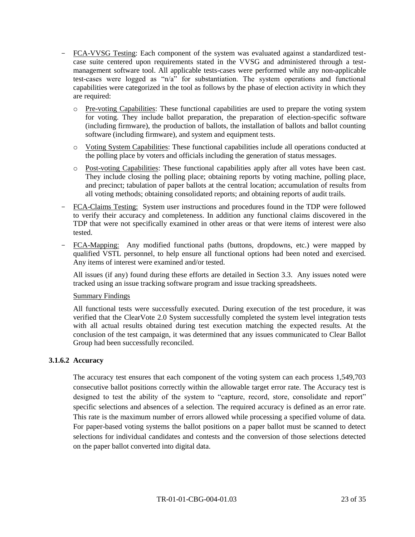- FCA-VVSG Testing: Each component of the system was evaluated against a standardized testcase suite centered upon requirements stated in the VVSG and administered through a testmanagement software tool. All applicable tests-cases were performed while any non-applicable test-cases were logged as "n/a" for substantiation. The system operations and functional capabilities were categorized in the tool as follows by the phase of election activity in which they are required:
	- o Pre-voting Capabilities: These functional capabilities are used to prepare the voting system for voting. They include ballot preparation, the preparation of election-specific software (including firmware), the production of ballots, the installation of ballots and ballot counting software (including firmware), and system and equipment tests.
	- o Voting System Capabilities: These functional capabilities include all operations conducted at the polling place by voters and officials including the generation of status messages.
	- o Post-voting Capabilities: These functional capabilities apply after all votes have been cast. They include closing the polling place; obtaining reports by voting machine, polling place, and precinct; tabulation of paper ballots at the central location; accumulation of results from all voting methods; obtaining consolidated reports; and obtaining reports of audit trails.
- FCA-Claims Testing: System user instructions and procedures found in the TDP were followed to verify their accuracy and completeness. In addition any functional claims discovered in the TDP that were not specifically examined in other areas or that were items of interest were also tested.
- FCA-Mapping: Any modified functional paths (buttons, dropdowns, etc.) were mapped by qualified VSTL personnel, to help ensure all functional options had been noted and exercised. Any items of interest were examined and/or tested.

All issues (if any) found during these efforts are detailed in Section 3.3. Any issues noted were tracked using an issue tracking software program and issue tracking spreadsheets.

#### Summary Findings

All functional tests were successfully executed. During execution of the test procedure, it was verified that the ClearVote 2.0 System successfully completed the system level integration tests with all actual results obtained during test execution matching the expected results. At the conclusion of the test campaign, it was determined that any issues communicated to Clear Ballot Group had been successfully reconciled.

#### **3.1.6.2 Accuracy**

The accuracy test ensures that each component of the voting system can each process 1,549,703 consecutive ballot positions correctly within the allowable target error rate. The Accuracy test is designed to test the ability of the system to "capture, record, store, consolidate and report" specific selections and absences of a selection. The required accuracy is defined as an error rate. This rate is the maximum number of errors allowed while processing a specified volume of data. For paper-based voting systems the ballot positions on a paper ballot must be scanned to detect selections for individual candidates and contests and the conversion of those selections detected on the paper ballot converted into digital data.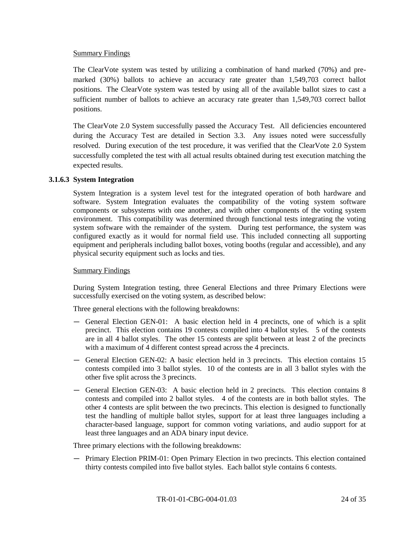#### Summary Findings

The ClearVote system was tested by utilizing a combination of hand marked (70%) and premarked (30%) ballots to achieve an accuracy rate greater than 1,549,703 correct ballot positions. The ClearVote system was tested by using all of the available ballot sizes to cast a sufficient number of ballots to achieve an accuracy rate greater than 1,549,703 correct ballot positions.

The ClearVote 2.0 System successfully passed the Accuracy Test. All deficiencies encountered during the Accuracy Test are detailed in Section 3.3. Any issues noted were successfully resolved. During execution of the test procedure, it was verified that the ClearVote 2.0 System successfully completed the test with all actual results obtained during test execution matching the expected results.

#### **3.1.6.3 System Integration**

System Integration is a system level test for the integrated operation of both hardware and software. System Integration evaluates the compatibility of the voting system software components or subsystems with one another, and with other components of the voting system environment. This compatibility was determined through functional tests integrating the voting system software with the remainder of the system. During test performance, the system was configured exactly as it would for normal field use. This included connecting all supporting equipment and peripherals including ballot boxes, voting booths (regular and accessible), and any physical security equipment such as locks and ties.

#### Summary Findings

During System Integration testing, three General Elections and three Primary Elections were successfully exercised on the voting system, as described below:

Three general elections with the following breakdowns:

- ― General Election GEN-01: A basic election held in 4 precincts, one of which is a split precinct. This election contains 19 contests compiled into 4 ballot styles. 5 of the contests are in all 4 ballot styles. The other 15 contests are split between at least 2 of the precincts with a maximum of 4 different contest spread across the 4 precincts.
- ― General Election GEN-02: A basic election held in 3 precincts. This election contains 15 contests compiled into 3 ballot styles. 10 of the contests are in all 3 ballot styles with the other five split across the 3 precincts.
- ― General Election GEN-03: A basic election held in 2 precincts. This election contains 8 contests and compiled into 2 ballot styles. 4 of the contests are in both ballot styles. The other 4 contests are split between the two precincts. This election is designed to functionally test the handling of multiple ballot styles, support for at least three languages including a character-based language, support for common voting variations, and audio support for at least three languages and an ADA binary input device.

Three primary elections with the following breakdowns:

― Primary Election PRIM-01: Open Primary Election in two precincts. This election contained thirty contests compiled into five ballot styles. Each ballot style contains 6 contests.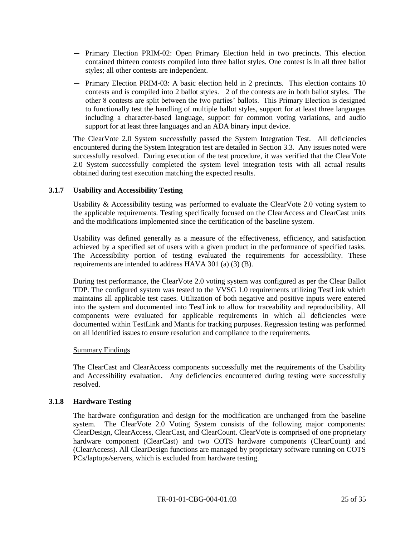- ― Primary Election PRIM-02: Open Primary Election held in two precincts. This election contained thirteen contests compiled into three ballot styles. One contest is in all three ballot styles; all other contests are independent.
- ― Primary Election PRIM-03: A basic election held in 2 precincts. This election contains 10 contests and is compiled into 2 ballot styles. 2 of the contests are in both ballot styles. The other 8 contests are split between the two parties' ballots. This Primary Election is designed to functionally test the handling of multiple ballot styles, support for at least three languages including a character-based language, support for common voting variations, and audio support for at least three languages and an ADA binary input device.

The ClearVote 2.0 System successfully passed the System Integration Test. All deficiencies encountered during the System Integration test are detailed in Section 3.3. Any issues noted were successfully resolved. During execution of the test procedure, it was verified that the ClearVote 2.0 System successfully completed the system level integration tests with all actual results obtained during test execution matching the expected results.

### **3.1.7 Usability and Accessibility Testing**

Usability & Accessibility testing was performed to evaluate the ClearVote 2.0 voting system to the applicable requirements. Testing specifically focused on the ClearAccess and ClearCast units and the modifications implemented since the certification of the baseline system.

Usability was defined generally as a measure of the effectiveness, efficiency, and satisfaction achieved by a specified set of users with a given product in the performance of specified tasks. The Accessibility portion of testing evaluated the requirements for accessibility. These requirements are intended to address HAVA 301 (a) (3) (B).

During test performance, the ClearVote 2.0 voting system was configured as per the Clear Ballot TDP. The configured system was tested to the VVSG 1.0 requirements utilizing TestLink which maintains all applicable test cases. Utilization of both negative and positive inputs were entered into the system and documented into TestLink to allow for traceability and reproducibility. All components were evaluated for applicable requirements in which all deficiencies were documented within TestLink and Mantis for tracking purposes. Regression testing was performed on all identified issues to ensure resolution and compliance to the requirements.

#### Summary Findings

The ClearCast and ClearAccess components successfully met the requirements of the Usability and Accessibility evaluation. Any deficiencies encountered during testing were successfully resolved.

#### **3.1.8 Hardware Testing**

The hardware configuration and design for the modification are unchanged from the baseline system. The ClearVote 2.0 Voting System consists of the following major components: ClearDesign, ClearAccess, ClearCast, and ClearCount. ClearVote is comprised of one proprietary hardware component (ClearCast) and two COTS hardware components (ClearCount) and (ClearAccess). All ClearDesign functions are managed by proprietary software running on COTS PCs/laptops/servers, which is excluded from hardware testing.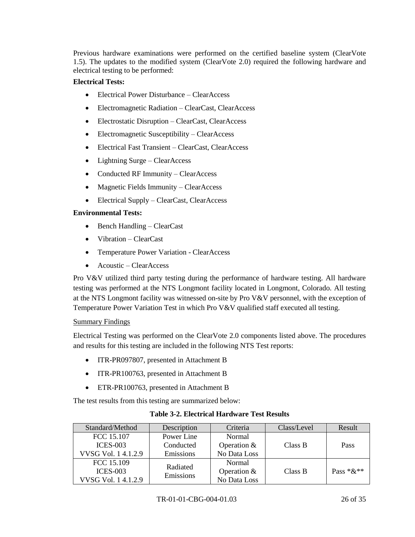Previous hardware examinations were performed on the certified baseline system (ClearVote 1.5). The updates to the modified system (ClearVote 2.0) required the following hardware and electrical testing to be performed:

### **Electrical Tests:**

- Electrical Power Disturbance ClearAccess
- Electromagnetic Radiation ClearCast, ClearAccess
- Electrostatic Disruption ClearCast, ClearAccess
- Electromagnetic Susceptibility ClearAccess
- Electrical Fast Transient ClearCast, ClearAccess
- Lightning Surge ClearAccess
- Conducted RF Immunity ClearAccess
- Magnetic Fields Immunity ClearAccess
- Electrical Supply ClearCast, ClearAccess

### **Environmental Tests:**

- Bench Handling ClearCast
- Vibration ClearCast
- Temperature Power Variation ClearAccess
- Acoustic ClearAccess

Pro V&V utilized third party testing during the performance of hardware testing. All hardware testing was performed at the NTS Longmont facility located in Longmont, Colorado. All testing at the NTS Longmont facility was witnessed on-site by Pro V&V personnel, with the exception of Temperature Power Variation Test in which Pro V&V qualified staff executed all testing.

### Summary Findings

Electrical Testing was performed on the ClearVote 2.0 components listed above. The procedures and results for this testing are included in the following NTS Test reports:

- ITR-PR097807, presented in Attachment B
- ITR-PR100763, presented in Attachment B
- ETR-PR100763, presented in Attachment B

The test results from this testing are summarized below:

| Standard/Method    | Description | Criteria      | Class/Level | Result      |
|--------------------|-------------|---------------|-------------|-------------|
| FCC 15.107         | Power Line  | Normal        |             |             |
| $ICES-003$         | Conducted   | Operation $&$ | Class B     | Pass        |
| VVSG Vol. 14.1.2.9 | Emissions   | No Data Loss  |             |             |
| FCC 15.109         | Radiated    | Normal        |             |             |
| $ICES-003$         | Emissions   | Operation $&$ | Class B     | Pass $*&**$ |
| VVSG Vol. 14.1.2.9 |             | No Data Loss  |             |             |

## **Table 3-2. Electrical Hardware Test Results**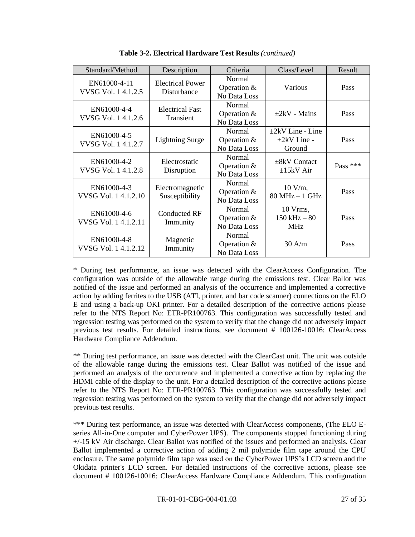| Standard/Method                    | Description                            | Criteria                                | Class/Level                                          | Result     |
|------------------------------------|----------------------------------------|-----------------------------------------|------------------------------------------------------|------------|
| EN61000-4-11<br>VVSG Vol. 14.1.2.5 | <b>Electrical Power</b><br>Disturbance | Normal<br>Operation $&$<br>No Data Loss | Various                                              | Pass       |
| EN61000-4-4<br>VVSG Vol. 14.1.2.6  | <b>Electrical Fast</b><br>Transient    | Normal<br>Operation $&$<br>No Data Loss | $+2kV$ - Mains                                       | Pass       |
| EN61000-4-5<br>VVSG Vol. 14.1.2.7  | <b>Lightning Surge</b>                 | Normal<br>Operation &<br>No Data Loss   | $\pm 2kV$ Line - Line<br>$\pm 2kV$ Line -<br>Ground  | Pass       |
| EN61000-4-2<br>VVSG Vol. 14.1.2.8  | Electrostatic<br>Disruption            | Normal<br>Operation &<br>No Data Loss   | $\pm$ 8kV Contact<br>$\pm 15$ kV Air                 | Pass $***$ |
| EN61000-4-3<br>VVSG Vol. 14.1.2.10 | Electromagnetic<br>Susceptibility      | Normal<br>Operation &<br>No Data Loss   | $10 \text{ V/m}$ ,<br>$80 MHz - 1 GHz$               | Pass       |
| EN61000-4-6<br>VVSG Vol. 14.1.2.11 | <b>Conducted RF</b><br>Immunity        | Normal<br>Operation $&$<br>No Data Loss | $10 \text{ Vrms}$ ,<br>$150$ kHz $-80$<br><b>MHz</b> | Pass       |
| EN61000-4-8<br>VVSG Vol. 14.1.2.12 | Magnetic<br>Immunity                   | Normal<br>Operation $&$<br>No Data Loss | 30 A/m                                               | Pass       |

**Table 3-2. Electrical Hardware Test Results** *(continued)*

\* During test performance, an issue was detected with the ClearAccess Configuration. The configuration was outside of the allowable range during the emissions test. Clear Ballot was notified of the issue and performed an analysis of the occurrence and implemented a corrective action by adding ferrites to the USB (ATI, printer, and bar code scanner) connections on the ELO E and using a back-up OKI printer. For a detailed description of the corrective actions please refer to the NTS Report No: ETR-PR100763. This configuration was successfully tested and regression testing was performed on the system to verify that the change did not adversely impact previous test results. For detailed instructions, see document # 100126-10016: ClearAccess Hardware Compliance Addendum.

\*\* During test performance, an issue was detected with the ClearCast unit. The unit was outside of the allowable range during the emissions test. Clear Ballot was notified of the issue and performed an analysis of the occurrence and implemented a corrective action by replacing the HDMI cable of the display to the unit. For a detailed description of the corrective actions please refer to the NTS Report No: ETR-PR100763. This configuration was successfully tested and regression testing was performed on the system to verify that the change did not adversely impact previous test results.

\*\*\* During test performance, an issue was detected with ClearAccess components, (The ELO Eseries All-in-One computer and CyberPower UPS). The components stopped functioning during +/-15 kV Air discharge. Clear Ballot was notified of the issues and performed an analysis. Clear Ballot implemented a corrective action of adding 2 mil polymide film tape around the CPU enclosure. The same polymide film tape was used on the CyberPower UPS's LCD screen and the Okidata printer's LCD screen. For detailed instructions of the corrective actions, please see document # 100126-10016: ClearAccess Hardware Compliance Addendum. This configuration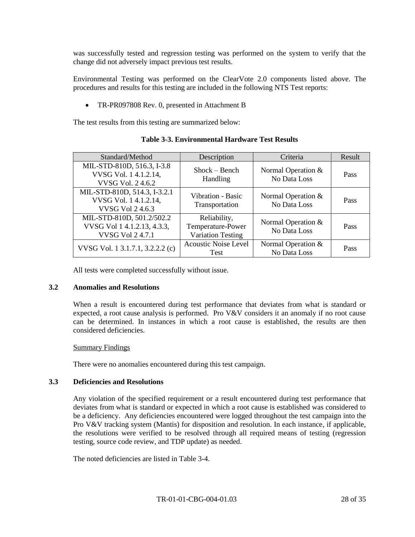was successfully tested and regression testing was performed on the system to verify that the change did not adversely impact previous test results.

Environmental Testing was performed on the ClearVote 2.0 components listed above. The procedures and results for this testing are included in the following NTS Test reports:

• TR-PR097808 Rev. 0, presented in Attachment B

The test results from this testing are summarized below:

| Standard/Method                                                                     | Description                                                   | Criteria                             | Result |
|-------------------------------------------------------------------------------------|---------------------------------------------------------------|--------------------------------------|--------|
| MIL-STD-810D, 516.3, I-3.8<br>VVSG Vol. 14.1.2.14,<br>VVSG Vol. 24.6.2              | $Show - Bench$<br>Handling                                    | Normal Operation $&$<br>No Data Loss | Pass   |
| MIL-STD-810D, 514.3, I-3.2.1<br>VVSG Vol. 14.1.2.14,<br><b>VVSG Vol 2 4.6.3</b>     | Vibration - Basic<br>Transportation                           | Normal Operation $&$<br>No Data Loss | Pass   |
| MIL-STD-810D, 501.2/502.2<br>VVSG Vol 1 4.1.2.13, 4.3.3,<br><b>VVSG Vol 2 4.7.1</b> | Reliability,<br>Temperature-Power<br><b>Variation Testing</b> | Normal Operation $&$<br>No Data Loss | Pass   |
| VVSG Vol. 1 3.1.7.1, 3.2.2.2 (c)                                                    | <b>Acoustic Noise Level</b><br>Test                           | Normal Operation &<br>No Data Loss   | Pass   |

### **Table 3-3. Environmental Hardware Test Results**

All tests were completed successfully without issue.

#### **3.2 Anomalies and Resolutions**

When a result is encountered during test performance that deviates from what is standard or expected, a root cause analysis is performed. Pro  $V&V$  considers it an anomaly if no root cause can be determined. In instances in which a root cause is established, the results are then considered deficiencies.

#### Summary Findings

There were no anomalies encountered during this test campaign.

#### **3.3 Deficiencies and Resolutions**

Any violation of the specified requirement or a result encountered during test performance that deviates from what is standard or expected in which a root cause is established was considered to be a deficiency. Any deficiencies encountered were logged throughout the test campaign into the Pro V&V tracking system (Mantis) for disposition and resolution. In each instance, if applicable, the resolutions were verified to be resolved through all required means of testing (regression testing, source code review, and TDP update) as needed.

The noted deficiencies are listed in Table 3-4.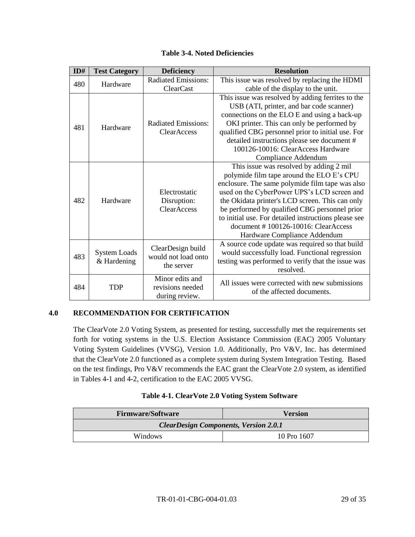|  | <b>Table 3-4. Noted Deficiencies</b> |
|--|--------------------------------------|
|--|--------------------------------------|

| ID#             | <b>Test Category</b> | <b>Deficiency</b>                                       | <b>Resolution</b>                                    |
|-----------------|----------------------|---------------------------------------------------------|------------------------------------------------------|
| 480             | Hardware             | <b>Radiated Emissions:</b><br><b>ClearCast</b>          | This issue was resolved by replacing the HDMI        |
|                 |                      |                                                         | cable of the display to the unit.                    |
|                 |                      |                                                         | This issue was resolved by adding ferrites to the    |
|                 |                      | <b>Radiated Emissions:</b><br>ClearAccess               | USB (ATI, printer, and bar code scanner)             |
|                 |                      |                                                         | connections on the ELO E and using a back-up         |
| 481             | Hardware             |                                                         | OKI printer. This can only be performed by           |
|                 |                      |                                                         | qualified CBG personnel prior to initial use. For    |
|                 |                      |                                                         | detailed instructions please see document #          |
|                 |                      |                                                         | 100126-10016: ClearAccess Hardware                   |
|                 |                      |                                                         | Compliance Addendum                                  |
|                 |                      |                                                         | This issue was resolved by adding 2 mil              |
|                 |                      | Electrostatic<br>Disruption:<br><b>ClearAccess</b>      | polymide film tape around the ELO E's CPU            |
| 482<br>Hardware |                      |                                                         | enclosure. The same polymide film tape was also      |
|                 |                      |                                                         | used on the CyberPower UPS's LCD screen and          |
|                 |                      |                                                         | the Okidata printer's LCD screen. This can only      |
|                 |                      |                                                         | be performed by qualified CBG personnel prior        |
|                 |                      |                                                         | to initial use. For detailed instructions please see |
|                 |                      |                                                         | document #100126-10016: ClearAccess                  |
|                 |                      |                                                         | Hardware Compliance Addendum                         |
|                 |                      | ClearDesign build<br>would not load onto<br>& Hardening | A source code update was required so that build      |
| 483             | <b>System Loads</b>  |                                                         | would successfully load. Functional regression       |
|                 |                      |                                                         | testing was performed to verify that the issue was   |
|                 |                      | the server                                              | resolved.                                            |
|                 |                      | Minor edits and                                         | All issues were corrected with new submissions       |
| 484             | <b>TDP</b>           | revisions needed                                        | of the affected documents.                           |
|                 |                      | during review.                                          |                                                      |

### **4.0 RECOMMENDATION FOR CERTIFICATION**

The ClearVote 2.0 Voting System, as presented for testing, successfully met the requirements set forth for voting systems in the U.S. Election Assistance Commission (EAC) 2005 Voluntary Voting System Guidelines (VVSG), Version 1.0. Additionally, Pro V&V, Inc. has determined that the ClearVote 2.0 functioned as a complete system during System Integration Testing. Based on the test findings, Pro V&V recommends the EAC grant the ClearVote 2.0 system, as identified in Tables 4-1 and 4-2, certification to the EAC 2005 VVSG.

#### **Table 4-1. ClearVote 2.0 Voting System Software**

| <b>Firmware/Software</b>                     | <b>Version</b> |
|----------------------------------------------|----------------|
| <b>ClearDesign Components, Version 2.0.1</b> |                |
| Windows                                      | 10 Pro 1607    |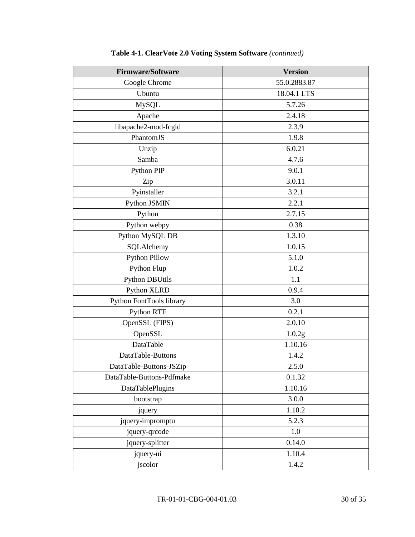| <b>Firmware/Software</b>  | <b>Version</b> |
|---------------------------|----------------|
| Google Chrome             | 55.0.2883.87   |
| Ubuntu                    | 18.04.1 LTS    |
| MySQL                     | 5.7.26         |
| Apache                    | 2.4.18         |
| libapache2-mod-fcgid      | 2.3.9          |
| PhantomJS                 | 1.9.8          |
| Unzip                     | 6.0.21         |
| Samba                     | 4.7.6          |
| Python PIP                | 9.0.1          |
| Zip                       | 3.0.11         |
| Pyinstaller               | 3.2.1          |
| Python JSMIN              | 2.2.1          |
| Python                    | 2.7.15         |
| Python webpy              | 0.38           |
| Python MySQL DB           | 1.3.10         |
| SQLAlchemy                | 1.0.15         |
| <b>Python Pillow</b>      | 5.1.0          |
| Python Flup               | 1.0.2          |
| <b>Python DBUtils</b>     | 1.1            |
| Python XLRD               | 0.9.4          |
| Python FontTools library  | 3.0            |
| Python RTF                | 0.2.1          |
| OpenSSL (FIPS)            | 2.0.10         |
| OpenSSL                   | 1.0.2g         |
| DataTable                 | 1.10.16        |
| DataTable-Buttons         | 1.4.2          |
| DataTable-Buttons-JSZip   | 2.5.0          |
| DataTable-Buttons-Pdfmake | 0.1.32         |
| DataTablePlugins          | 1.10.16        |
| bootstrap                 | 3.0.0          |
| jquery                    | 1.10.2         |
| jquery-impromptu          | 5.2.3          |
| jquery-qrcode             | 1.0            |
| jquery-splitter           | 0.14.0         |
| jquery-ui                 | 1.10.4         |
| jscolor                   | 1.4.2          |

# **Table 4-1. ClearVote 2.0 Voting System Software** *(continued)*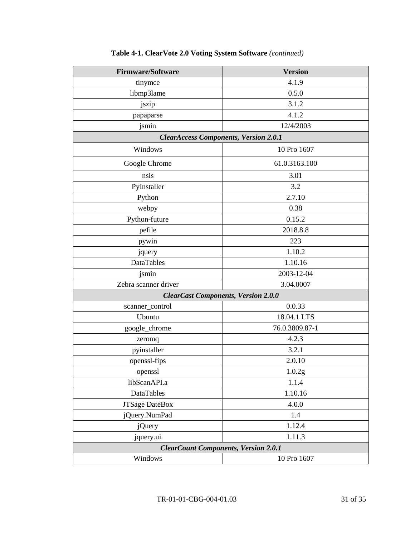| <b>Firmware/Software</b>                     | <b>Version</b>    |  |
|----------------------------------------------|-------------------|--|
| tinymce                                      | 4.1.9             |  |
| libmp3lame                                   | 0.5.0             |  |
| jszip                                        | 3.1.2             |  |
| papaparse                                    | 4.1.2             |  |
| jsmin                                        | 12/4/2003         |  |
| <b>ClearAccess Components, Version 2.0.1</b> |                   |  |
| Windows                                      | 10 Pro 1607       |  |
| Google Chrome                                | 61.0.3163.100     |  |
| nsis                                         | 3.01              |  |
| PyInstaller                                  | 3.2               |  |
| Python                                       | 2.7.10            |  |
| webpy                                        | 0.38              |  |
| Python-future                                | 0.15.2            |  |
| pefile                                       | 2018.8.8          |  |
| pywin                                        | 223               |  |
| jquery                                       | 1.10.2            |  |
| DataTables                                   | 1.10.16           |  |
| jsmin                                        | 2003-12-04        |  |
| Zebra scanner driver                         | 3.04.0007         |  |
| <b>ClearCast Components, Version 2.0.0</b>   |                   |  |
| scanner_control                              | 0.0.33            |  |
| Ubuntu                                       | 18.04.1 LTS       |  |
| google_chrome                                | 76.0.3809.87-1    |  |
| zeromq                                       | 4.2.3             |  |
| pyinstaller                                  | 3.2.1             |  |
| openssl-fips                                 | 2.0.10            |  |
| openssl                                      | $1.0.2\mathrm{g}$ |  |
| libScanAPI.a                                 | 1.1.4             |  |
| DataTables                                   | 1.10.16           |  |
| <b>JTSage DateBox</b>                        | 4.0.0             |  |
| jQuery.NumPad                                | 1.4               |  |
| <i>j</i> Query                               | 1.12.4            |  |
| jquery.ui                                    | 1.11.3            |  |
| <b>ClearCount Components, Version 2.0.1</b>  |                   |  |
| Windows                                      | 10 Pro 1607       |  |

# **Table 4-1. ClearVote 2.0 Voting System Software** *(continued)*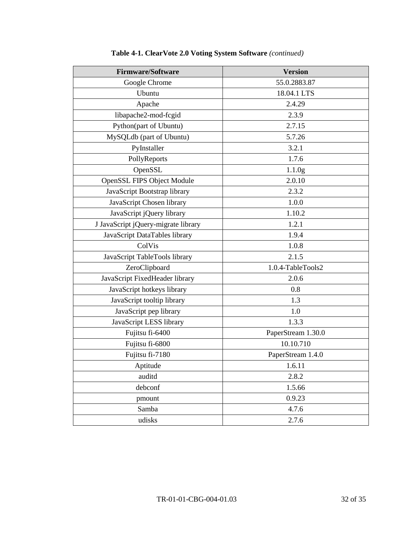| <b>Firmware/Software</b>            | <b>Version</b>     |
|-------------------------------------|--------------------|
| Google Chrome                       | 55.0.2883.87       |
| Ubuntu                              | 18.04.1 LTS        |
| Apache                              | 2.4.29             |
| libapache2-mod-fcgid                | 2.3.9              |
| Python(part of Ubuntu)              | 2.7.15             |
| MySQLdb (part of Ubuntu)            | 5.7.26             |
| PyInstaller                         | 3.2.1              |
| PollyReports                        | 1.7.6              |
| OpenSSL                             | 1.1.0 <sub>g</sub> |
| <b>OpenSSL FIPS Object Module</b>   | 2.0.10             |
| JavaScript Bootstrap library        | 2.3.2              |
| JavaScript Chosen library           | 1.0.0              |
| JavaScript jQuery library           | 1.10.2             |
| J JavaScript jQuery-migrate library | 1.2.1              |
| JavaScript DataTables library       | 1.9.4              |
| ColVis                              | 1.0.8              |
| JavaScript TableTools library       | 2.1.5              |
| ZeroClipboard                       | 1.0.4-TableTools2  |
| JavaScript FixedHeader library      | 2.0.6              |
| JavaScript hotkeys library          | 0.8                |
| JavaScript tooltip library          | 1.3                |
| JavaScript pep library              | 1.0                |
| JavaScript LESS library             | 1.3.3              |
| Fujitsu fi-6400                     | PaperStream 1.30.0 |
| Fujitsu fi-6800                     | 10.10.710          |
| Fujitsu fi-7180                     | PaperStream 1.4.0  |
| Aptitude                            | 1.6.11             |
| auditd                              | 2.8.2              |
| debconf                             | 1.5.66             |
| pmount                              | 0.9.23             |
| Samba                               | 4.7.6              |
| udisks                              | 2.7.6              |

# **Table 4-1. ClearVote 2.0 Voting System Software** *(continued)*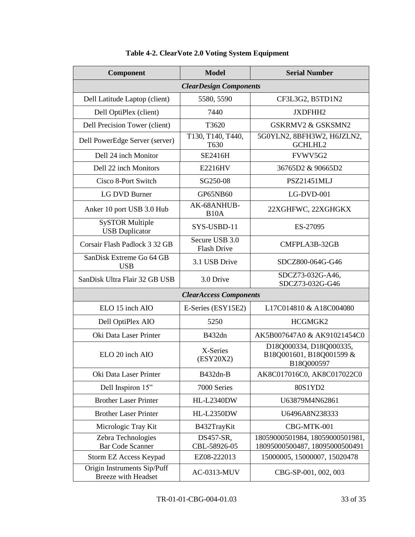| Component                                                 | <b>Model</b>                         | <b>Serial Number</b>                                              |  |
|-----------------------------------------------------------|--------------------------------------|-------------------------------------------------------------------|--|
| <b>ClearDesign Components</b>                             |                                      |                                                                   |  |
| Dell Latitude Laptop (client)                             | 5580, 5590                           | CF3L3G2, B5TD1N2                                                  |  |
| Dell OptiPlex (client)                                    | 7440                                 | JXDFHH2                                                           |  |
| Dell Precision Tower (client)                             | T3620                                | <b>GSKRMV2 &amp; GSKSMN2</b>                                      |  |
| Dell PowerEdge Server (server)                            | T130, T140, T440,<br>T630            | 5G0YLN2, 8BFH3W2, H6JZLN2,<br>GCHLHL2                             |  |
| Dell 24 inch Monitor                                      | SE2416H                              | FVWV5G2                                                           |  |
| Dell 22 inch Monitors                                     | E2216HV                              | 36765D2 & 90665D2                                                 |  |
| Cisco 8-Port Switch                                       | SG250-08                             | PSZ21451MLJ                                                       |  |
| <b>LG DVD Burner</b>                                      | GP65NB60                             | LG-DVD-001                                                        |  |
| Anker 10 port USB 3.0 Hub                                 | AK-68ANHUB-<br>B <sub>10</sub> A     | 22XGHFWC, 22XGHGKX                                                |  |
| <b>SySTOR Multiple</b><br><b>USB</b> Duplicator           | SYS-USBD-11                          | ES-27095                                                          |  |
| Corsair Flash Padlock 3 32 GB                             | Secure USB 3.0<br><b>Flash Drive</b> | CMFPLA3B-32GB                                                     |  |
| SanDisk Extreme Go 64 GB<br><b>USB</b>                    | 3.1 USB Drive                        | SDCZ800-064G-G46                                                  |  |
| SanDisk Ultra Flair 32 GB USB                             | 3.0 Drive                            | SDCZ73-032G-A46,<br>SDCZ73-032G-G46                               |  |
|                                                           | <b>ClearAccess Components</b>        |                                                                   |  |
| ELO 15 inch AIO                                           | E-Series (ESY15E2)                   | L17C014810 & A18C004080                                           |  |
| Dell OptiPlex AIO                                         | 5250                                 | HCGMGK2                                                           |  |
| Oki Data Laser Printer                                    | B432dn                               | AK5B007647A0 & AK91021454C0                                       |  |
| ELO 20 inch AIO                                           | X-Series<br>(ESY20X2)                | D18Q000334, D18Q000335,<br>B18Q001601, B18Q001599 &<br>B18Q000597 |  |
| Oki Data Laser Printer                                    | B432dn-B                             | AK8C017016C0, AK8C017022C0                                        |  |
| Dell Inspiron 15"                                         | 7000 Series                          | 80S1YD2                                                           |  |
| <b>Brother Laser Printer</b>                              | <b>HL-L2340DW</b>                    | U63879M4N62861                                                    |  |
| <b>Brother Laser Printer</b>                              | <b>HL-L2350DW</b>                    | U6496A8N238333                                                    |  |
| Micrologic Tray Kit                                       | B432TrayKit                          | CBG-MTK-001                                                       |  |
| Zebra Technologies<br><b>Bar Code Scanner</b>             | DS457-SR,<br>CBL-58926-05            | 18059000501984, 18059000501981,<br>18095000500487, 18095000500491 |  |
| <b>Storm EZ Access Keypad</b>                             | EZ08-222013                          | 15000005, 15000007, 15020478                                      |  |
| Origin Instruments Sip/Puff<br><b>Breeze with Headset</b> | <b>AC-0313-MUV</b>                   | CBG-SP-001, 002, 003                                              |  |

# **Table 4-2. ClearVote 2.0 Voting System Equipment**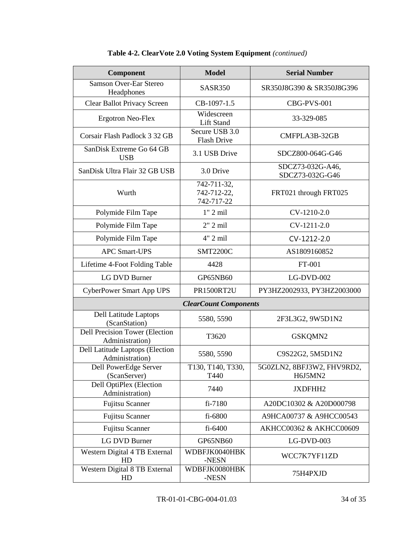| Component                                                | <b>Model</b>                             | <b>Serial Number</b>                 |
|----------------------------------------------------------|------------------------------------------|--------------------------------------|
| <b>Samson Over-Ear Stereo</b><br>Headphones              | SASR350                                  | SR350J8G390 & SR350J8G396            |
| Clear Ballot Privacy Screen                              | CB-1097-1.5                              | CBG-PVS-001                          |
| <b>Ergotron Neo-Flex</b>                                 | Widescreen<br>Lift Stand                 | 33-329-085                           |
| Corsair Flash Padlock 3 32 GB                            | Secure USB 3.0<br><b>Flash Drive</b>     | CMFPLA3B-32GB                        |
| SanDisk Extreme Go 64 GB<br><b>USB</b>                   | 3.1 USB Drive                            | SDCZ800-064G-G46                     |
| SanDisk Ultra Flair 32 GB USB                            | 3.0 Drive                                | SDCZ73-032G-A46,<br>SDCZ73-032G-G46  |
| Wurth                                                    | 742-711-32,<br>742-712-22,<br>742-717-22 | FRT021 through FRT025                |
| Polymide Film Tape                                       | $1"$ 2 mil                               | CV-1210-2.0                          |
| Polymide Film Tape                                       | $2"$ 2 mil                               | CV-1211-2.0                          |
| Polymide Film Tape                                       | 4" 2 mil                                 | CV-1212-2.0                          |
| <b>APC Smart-UPS</b>                                     | <b>SMT2200C</b>                          | AS1809160852                         |
| Lifetime 4-Foot Folding Table                            | 4428                                     | FT-001                               |
| <b>LG DVD Burner</b>                                     | GP65NB60                                 | $LG-DVD-002$                         |
| <b>CyberPower Smart App UPS</b>                          | <b>PR1500RT2U</b>                        | PY3HZ2002933, PY3HZ2003000           |
|                                                          | <b>ClearCount Components</b>             |                                      |
| Dell Latitude Laptops<br>(ScanStation)                   | 5580, 5590                               | 2F3L3G2, 9W5D1N2                     |
| <b>Dell Precision Tower (Election</b><br>Administration) | T3620                                    | GSKQMN2                              |
| Dell Latitude Laptops (Election<br>Administration)       | 5580, 5590                               | C9S22G2, 5M5D1N2                     |
| Dell PowerEdge Server<br>(ScanServer)                    | T130, T140, T330<br>T440                 | 5G0ZLN2, 8BFJ3W2, FHV9RD2<br>H6J5MN2 |
| <b>Dell OptiPlex (Election</b><br>Administration)        | 7440                                     | JXDFHH2                              |
| <b>Fujitsu Scanner</b>                                   | fi-7180                                  | A20DC10302 & A20D000798              |
| <b>Fujitsu Scanner</b>                                   | fi-6800                                  | A9HCA00737 & A9HCC00543              |
| <b>Fujitsu Scanner</b>                                   | fi-6400                                  | AKHCC00362 & AKHCC00609              |
| <b>LG DVD Burner</b>                                     | GP65NB60                                 | LG-DVD-003                           |
| Western Digital 4 TB External<br>HD                      | WDBFJK0040HBK<br>-NESN                   | WCC7K7YF11ZD                         |
| Western Digital 8 TB External<br>HD                      | WDBFJK0080HBK<br>-NESN                   | 75H4PXJD                             |

# **Table 4-2. ClearVote 2.0 Voting System Equipment** *(continued)*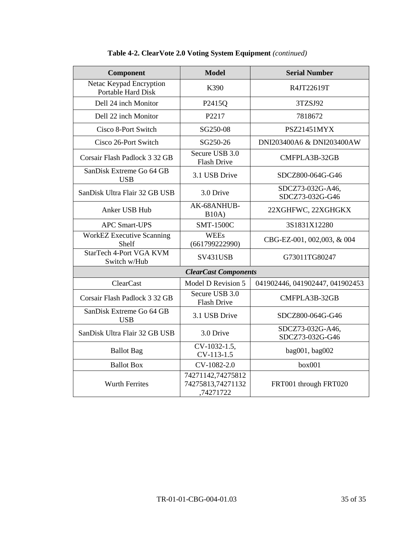| <b>Component</b>                                     | <b>Model</b>                                        | <b>Serial Number</b>                |
|------------------------------------------------------|-----------------------------------------------------|-------------------------------------|
| Netac Keypad Encryption<br><b>Portable Hard Disk</b> | K390                                                | R4JT22619T                          |
| Dell 24 inch Monitor                                 | P2415Q                                              | 3TZSJ92                             |
| Dell 22 inch Monitor                                 | P2217                                               | 7818672                             |
| Cisco 8-Port Switch                                  | SG250-08                                            | PSZ21451MYX                         |
| Cisco 26-Port Switch                                 | SG250-26                                            | DNI203400A6 & DNI203400AW           |
| Corsair Flash Padlock 3 32 GB                        | Secure USB 3.0<br><b>Flash Drive</b>                | CMFPLA3B-32GB                       |
| SanDisk Extreme Go 64 GB<br><b>USB</b>               | 3.1 USB Drive                                       | SDCZ800-064G-G46                    |
| SanDisk Ultra Flair 32 GB USB                        | 3.0 Drive                                           | SDCZ73-032G-A46,<br>SDCZ73-032G-G46 |
| Anker USB Hub                                        | AK-68ANHUB-<br>B10A)                                | 22XGHFWC, 22XGHGKX                  |
| <b>APC Smart-UPS</b>                                 | <b>SMT-1500C</b>                                    | 3S1831X12280                        |
| WorkEZ Executive Scanning<br>Shelf                   | <b>WEEs</b><br>(661799222990)                       | CBG-EZ-001, 002,003, & 004          |
| <b>StarTech 4-Port VGA KVM</b><br>Switch w/Hub       | SV431USB                                            | G73011TG80247                       |
| <b>ClearCast Components</b>                          |                                                     |                                     |
| <b>ClearCast</b>                                     | Model D Revision 5                                  | 041902446, 041902447, 041902453     |
| Corsair Flash Padlock 3 32 GB                        | Secure USB 3.0<br><b>Flash Drive</b>                | CMFPLA3B-32GB                       |
| SanDisk Extreme Go 64 GB<br><b>USB</b>               | 3.1 USB Drive                                       | SDCZ800-064G-G46                    |
| SanDisk Ultra Flair 32 GB USB                        | 3.0 Drive                                           | SDCZ73-032G-A46,<br>SDCZ73-032G-G46 |
| <b>Ballot</b> Bag                                    | CV-1032-1.5,<br>CV-113-1.5                          | bag001, bag002                      |
| <b>Ballot Box</b>                                    | CV-1082-2.0                                         | box001                              |
| <b>Wurth Ferrites</b>                                | 74271142,74275812<br>74275813,74271132<br>,74271722 | FRT001 through FRT020               |

**Table 4-2. ClearVote 2.0 Voting System Equipment** *(continued)*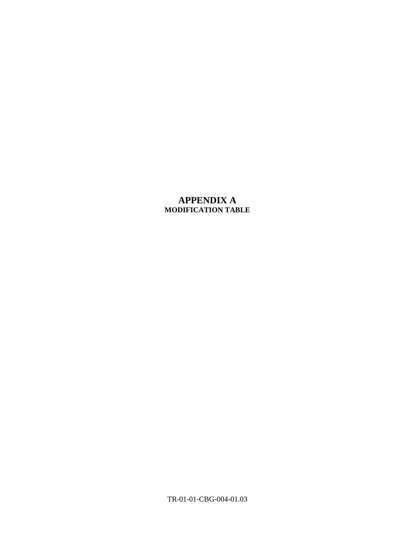# **APPENDIX A MODIFICATION TABLE**

TR-01-01-CBG-004-01.03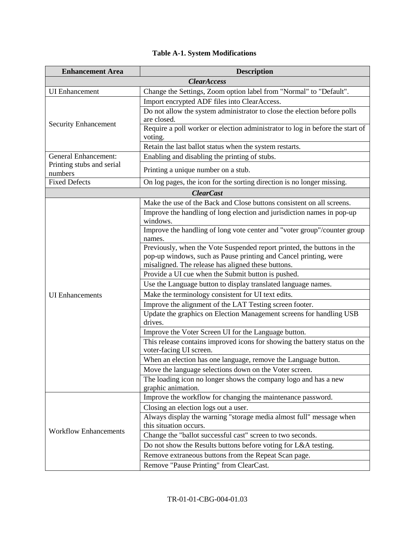| <b>Enhancement Area</b>                                  | <b>Description</b>                                                                 |  |
|----------------------------------------------------------|------------------------------------------------------------------------------------|--|
| <b>ClearAccess</b>                                       |                                                                                    |  |
| <b>UI</b> Enhancement                                    | Change the Settings, Zoom option label from "Normal" to "Default".                 |  |
|                                                          | Import encrypted ADF files into ClearAccess.                                       |  |
|                                                          | Do not allow the system administrator to close the election before polls           |  |
| <b>Security Enhancement</b>                              | are closed.                                                                        |  |
|                                                          | Require a poll worker or election administrator to log in before the start of      |  |
|                                                          | voting.                                                                            |  |
|                                                          | Retain the last ballot status when the system restarts.                            |  |
| <b>General Enhancement:</b><br>Printing stubs and serial | Enabling and disabling the printing of stubs.                                      |  |
| numbers                                                  | Printing a unique number on a stub.                                                |  |
| <b>Fixed Defects</b>                                     | On log pages, the icon for the sorting direction is no longer missing.             |  |
|                                                          | <b>ClearCast</b>                                                                   |  |
|                                                          | Make the use of the Back and Close buttons consistent on all screens.              |  |
|                                                          | Improve the handling of long election and jurisdiction names in pop-up<br>windows. |  |
|                                                          | Improve the handling of long vote center and "voter group"/counter group           |  |
|                                                          | names.                                                                             |  |
|                                                          | Previously, when the Vote Suspended report printed, the buttons in the             |  |
|                                                          | pop-up windows, such as Pause printing and Cancel printing, were                   |  |
|                                                          | misaligned. The release has aligned these buttons.                                 |  |
|                                                          | Provide a UI cue when the Submit button is pushed.                                 |  |
|                                                          | Use the Language button to display translated language names.                      |  |
| <b>UI</b> Enhancements                                   | Make the terminology consistent for UI text edits.                                 |  |
|                                                          | Improve the alignment of the LAT Testing screen footer.                            |  |
|                                                          | Update the graphics on Election Management screens for handling USB<br>drives.     |  |
|                                                          | Improve the Voter Screen UI for the Language button.                               |  |
|                                                          | This release contains improved icons for showing the battery status on the         |  |
|                                                          | voter-facing UI screen.                                                            |  |
|                                                          | When an election has one language, remove the Language button.                     |  |
|                                                          | Move the language selections down on the Voter screen.                             |  |
|                                                          | The loading icon no longer shows the company logo and has a new                    |  |
|                                                          | graphic animation.                                                                 |  |
|                                                          | Improve the workflow for changing the maintenance password.                        |  |
|                                                          | Closing an election logs out a user.                                               |  |
|                                                          | Always display the warning "storage media almost full" message when                |  |
| <b>Workflow Enhancements</b>                             | this situation occurs.                                                             |  |
|                                                          | Change the "ballot successful cast" screen to two seconds.                         |  |
|                                                          | Do not show the Results buttons before voting for L&A testing.                     |  |
|                                                          | Remove extraneous buttons from the Repeat Scan page.                               |  |
|                                                          | Remove "Pause Printing" from ClearCast.                                            |  |

# **Table A-1. System Modifications**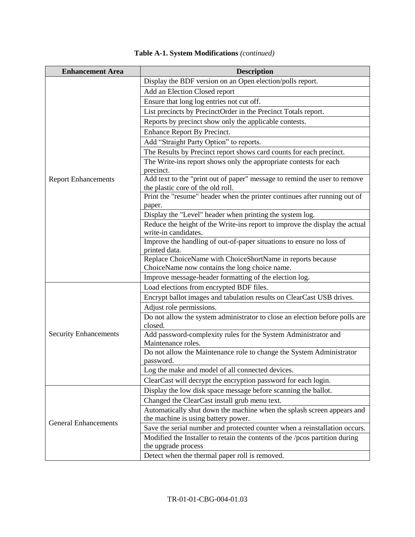| <b>Enhancement Area</b>      | <b>Description</b>                                                                                  |
|------------------------------|-----------------------------------------------------------------------------------------------------|
|                              | Display the BDF version on an Open election/polls report.                                           |
|                              | Add an Election Closed report                                                                       |
|                              | Ensure that long log entries not cut off.                                                           |
|                              | List precincts by PrecinctOrder in the Precinct Totals report.                                      |
|                              | Reports by precinct show only the applicable contests.                                              |
|                              | Enhance Report By Precinct.                                                                         |
|                              | Add "Straight Party Option" to reports.                                                             |
|                              | The Results by Precinct report shows card counts for each precinct.                                 |
|                              | The Write-ins report shows only the appropriate contests for each                                   |
|                              | precinct.                                                                                           |
| <b>Report Enhancements</b>   | Add text to the "print out of paper" message to remind the user to remove                           |
|                              | the plastic core of the old roll.                                                                   |
|                              | Print the "resume" header when the printer continues after running out of                           |
|                              | paper.                                                                                              |
|                              | Display the "Level" header when printing the system log.                                            |
|                              | Reduce the height of the Write-ins report to improve the display the actual<br>write-in candidates. |
|                              | Improve the handling of out-of-paper situations to ensure no loss of                                |
|                              | printed data.                                                                                       |
|                              | Replace ChoiceName with ChoiceShortName in reports because                                          |
|                              | ChoiceName now contains the long choice name.                                                       |
|                              | Improve message-header formatting of the election log.                                              |
|                              | Load elections from encrypted BDF files.                                                            |
|                              | Encrypt ballot images and tabulation results on ClearCast USB drives.                               |
|                              | Adjust role permissions.                                                                            |
|                              | Do not allow the system administrator to close an election before polls are                         |
|                              | closed.                                                                                             |
| <b>Security Enhancements</b> | Add password-complexity rules for the System Administrator and                                      |
|                              | Maintenance roles.                                                                                  |
|                              | Do not allow the Maintenance role to change the System Administrator<br>password.                   |
|                              | Log the make and model of all connected devices.                                                    |
|                              | ClearCast will decrypt the encryption password for each login.                                      |
|                              | Display the low disk space message before scanning the ballot.                                      |
|                              | Changed the ClearCast install grub menu text.                                                       |
|                              | Automatically shut down the machine when the splash screen appears and                              |
|                              | the machine is using battery power.                                                                 |
| <b>General Enhancements</b>  | Save the serial number and protected counter when a reinstallation occurs.                          |
|                              | Modified the Installer to retain the contents of the /pcos partition during                         |
|                              | the upgrade process                                                                                 |
|                              | Detect when the thermal paper roll is removed.                                                      |

# **Table A-1. System Modifications** *(continued)*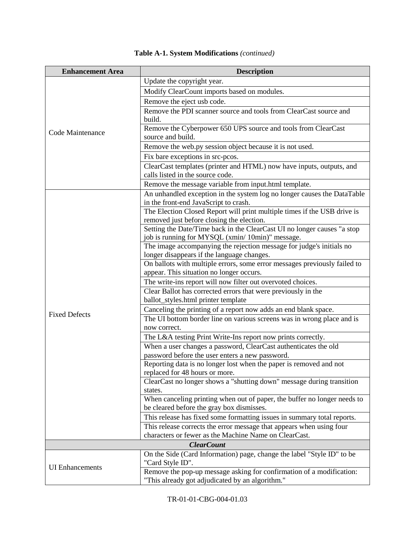| <b>Enhancement Area</b> | <b>Description</b>                                                                                      |
|-------------------------|---------------------------------------------------------------------------------------------------------|
|                         | Update the copyright year.                                                                              |
|                         | Modify ClearCount imports based on modules.                                                             |
|                         | Remove the eject usb code.                                                                              |
|                         | Remove the PDI scanner source and tools from ClearCast source and                                       |
|                         | build.                                                                                                  |
|                         | Remove the Cyberpower 650 UPS source and tools from ClearCast                                           |
| Code Maintenance        | source and build.                                                                                       |
|                         | Remove the web.py session object because it is not used.                                                |
|                         | Fix bare exceptions in src-pcos.                                                                        |
|                         | ClearCast templates (printer and HTML) now have inputs, outputs, and                                    |
|                         | calls listed in the source code.                                                                        |
|                         | Remove the message variable from input.html template.                                                   |
|                         | An unhandled exception in the system log no longer causes the DataTable                                 |
|                         | in the front-end JavaScript to crash.                                                                   |
|                         | The Election Closed Report will print multiple times if the USB drive is                                |
|                         | removed just before closing the election.                                                               |
|                         | Setting the Date/Time back in the ClearCast UI no longer causes "a stop                                 |
|                         | job is running for MYSQL (xmin/10min)" message.                                                         |
|                         | The image accompanying the rejection message for judge's initials no                                    |
|                         | longer disappears if the language changes.                                                              |
|                         | On ballots with multiple errors, some error messages previously failed to                               |
|                         | appear. This situation no longer occurs.                                                                |
|                         | The write-ins report will now filter out overvoted choices.                                             |
|                         | Clear Ballot has corrected errors that were previously in the                                           |
|                         | ballot_styles.html printer template                                                                     |
| <b>Fixed Defects</b>    | Canceling the printing of a report now adds an end blank space.                                         |
|                         | The UI bottom border line on various screens was in wrong place and is                                  |
|                         | now correct.                                                                                            |
|                         | The L&A testing Print Write-Ins report now prints correctly.                                            |
|                         | When a user changes a password, ClearCast authenticates the old                                         |
|                         | password before the user enters a new password.                                                         |
|                         | Reporting data is no longer lost when the paper is removed and not                                      |
|                         | replaced for 48 hours or more.<br>ClearCast no longer shows a "shutting down" message during transition |
|                         | states.                                                                                                 |
|                         | When canceling printing when out of paper, the buffer no longer needs to                                |
|                         | be cleared before the gray box dismisses.                                                               |
|                         | This release has fixed some formatting issues in summary total reports.                                 |
|                         | This release corrects the error message that appears when using four                                    |
|                         | characters or fewer as the Machine Name on ClearCast.                                                   |
|                         | <b>ClearCount</b>                                                                                       |
|                         | On the Side (Card Information) page, change the label "Style ID" to be                                  |
|                         | "Card Style ID".                                                                                        |
| <b>UI</b> Enhancements  | Remove the pop-up message asking for confirmation of a modification:                                    |
|                         | "This already got adjudicated by an algorithm."                                                         |

# **Table A-1. System Modifications** *(continued)*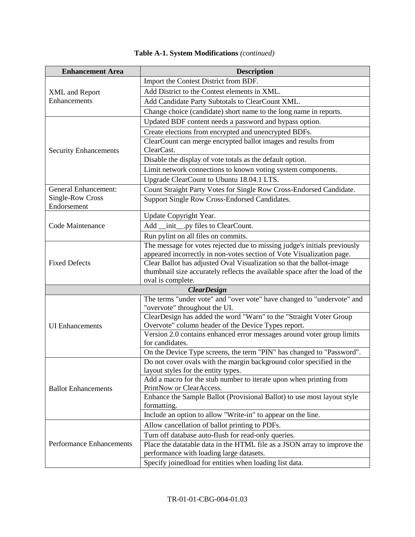| <b>Enhancement Area</b>               | <b>Description</b>                                                                                                                             |  |  |  |  |
|---------------------------------------|------------------------------------------------------------------------------------------------------------------------------------------------|--|--|--|--|
|                                       | Import the Contest District from BDF.                                                                                                          |  |  |  |  |
| <b>XML</b> and Report<br>Enhancements | Add District to the Contest elements in XML.                                                                                                   |  |  |  |  |
|                                       | Add Candidate Party Subtotals to ClearCount XML.                                                                                               |  |  |  |  |
|                                       | Change choice (candidate) short name to the long name in reports.                                                                              |  |  |  |  |
|                                       | Updated BDF content needs a password and bypass option.                                                                                        |  |  |  |  |
|                                       | Create elections from encrypted and unencrypted BDFs.                                                                                          |  |  |  |  |
|                                       | ClearCount can merge encrypted ballot images and results from                                                                                  |  |  |  |  |
| <b>Security Enhancements</b>          | ClearCast.                                                                                                                                     |  |  |  |  |
|                                       | Disable the display of vote totals as the default option.                                                                                      |  |  |  |  |
|                                       | Limit network connections to known voting system components.                                                                                   |  |  |  |  |
|                                       | Upgrade ClearCount to Ubuntu 18.04.1 LTS.                                                                                                      |  |  |  |  |
| <b>General Enhancement:</b>           | Count Straight Party Votes for Single Row Cross-Endorsed Candidate.                                                                            |  |  |  |  |
| Single-Row Cross                      | Support Single Row Cross-Endorsed Candidates.                                                                                                  |  |  |  |  |
| Endorsement                           |                                                                                                                                                |  |  |  |  |
|                                       | Update Copyright Year.                                                                                                                         |  |  |  |  |
| Code Maintenance                      | Add _init__.py files to ClearCount.                                                                                                            |  |  |  |  |
|                                       | Run pylint on all files on commits.                                                                                                            |  |  |  |  |
|                                       | The message for votes rejected due to missing judge's initials previously                                                                      |  |  |  |  |
| <b>Fixed Defects</b>                  | appeared incorrectly in non-votes section of Vote Visualization page.<br>Clear Ballot has adjusted Oval Visualization so that the ballot-image |  |  |  |  |
|                                       | thumbnail size accurately reflects the available space after the load of the                                                                   |  |  |  |  |
|                                       | oval is complete.                                                                                                                              |  |  |  |  |
|                                       | <b>ClearDesign</b>                                                                                                                             |  |  |  |  |
|                                       | The terms "under vote" and "over vote" have changed to "undervote" and                                                                         |  |  |  |  |
|                                       | "overvote" throughout the UI.                                                                                                                  |  |  |  |  |
|                                       | ClearDesign has added the word "Warn" to the "Straight Voter Group                                                                             |  |  |  |  |
| <b>UI</b> Enhancements                | Overvote" column header of the Device Types report.                                                                                            |  |  |  |  |
|                                       | Version 2.0 contains enhanced error messages around voter group limits                                                                         |  |  |  |  |
|                                       | for candidates.                                                                                                                                |  |  |  |  |
|                                       | On the Device Type screens, the term "PIN" has changed to "Password".                                                                          |  |  |  |  |
| <b>Ballot Enhancements</b>            | Do not cover ovals with the margin background color specified in the<br>layout styles for the entity types.                                    |  |  |  |  |
|                                       | Add a macro for the stub number to iterate upon when printing from                                                                             |  |  |  |  |
|                                       | PrintNow or ClearAccess.                                                                                                                       |  |  |  |  |
|                                       | Enhance the Sample Ballot (Provisional Ballot) to use most layout style                                                                        |  |  |  |  |
|                                       | formatting.                                                                                                                                    |  |  |  |  |
|                                       | Include an option to allow "Write-in" to appear on the line.                                                                                   |  |  |  |  |
|                                       | Allow cancellation of ballot printing to PDFs.                                                                                                 |  |  |  |  |
|                                       | Turn off database auto-flush for read-only queries.                                                                                            |  |  |  |  |
| <b>Performance Enhancements</b>       | Place the data table data in the HTML file as a JSON array to improve the                                                                      |  |  |  |  |
|                                       | performance with loading large datasets.                                                                                                       |  |  |  |  |
|                                       | Specify joinedload for entities when loading list data.                                                                                        |  |  |  |  |

# **Table A-1. System Modifications** *(continued)*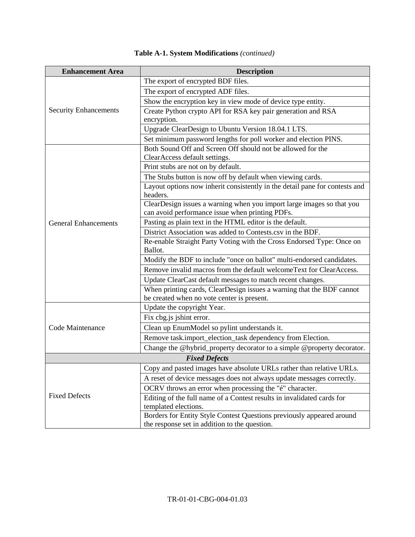| <b>Enhancement Area</b>      | <b>Description</b>                                                                                                       |  |  |  |  |
|------------------------------|--------------------------------------------------------------------------------------------------------------------------|--|--|--|--|
| <b>Security Enhancements</b> | The export of encrypted BDF files.                                                                                       |  |  |  |  |
|                              | The export of encrypted ADF files.                                                                                       |  |  |  |  |
|                              | Show the encryption key in view mode of device type entity.                                                              |  |  |  |  |
|                              | Create Python crypto API for RSA key pair generation and RSA<br>encryption.                                              |  |  |  |  |
|                              | Upgrade ClearDesign to Ubuntu Version 18.04.1 LTS.                                                                       |  |  |  |  |
|                              | Set minimum password lengths for poll worker and election PINS.                                                          |  |  |  |  |
| <b>General Enhancements</b>  | Both Sound Off and Screen Off should not be allowed for the<br>ClearAccess default settings.                             |  |  |  |  |
|                              | Print stubs are not on by default.                                                                                       |  |  |  |  |
|                              | The Stubs button is now off by default when viewing cards.                                                               |  |  |  |  |
|                              | Layout options now inherit consistently in the detail pane for contests and<br>headers.                                  |  |  |  |  |
|                              | ClearDesign issues a warning when you import large images so that you<br>can avoid performance issue when printing PDFs. |  |  |  |  |
|                              | Pasting as plain text in the HTML editor is the default.                                                                 |  |  |  |  |
|                              | District Association was added to Contests.csv in the BDF.                                                               |  |  |  |  |
|                              | Re-enable Straight Party Voting with the Cross Endorsed Type: Once on<br>Ballot.                                         |  |  |  |  |
|                              | Modify the BDF to include "once on ballot" multi-endorsed candidates.                                                    |  |  |  |  |
|                              | Remove invalid macros from the default welcomeText for ClearAccess.                                                      |  |  |  |  |
|                              | Update ClearCast default messages to match recent changes.                                                               |  |  |  |  |
|                              | When printing cards, ClearDesign issues a warning that the BDF cannot<br>be created when no vote center is present.      |  |  |  |  |
| Code Maintenance             | Update the copyright Year.                                                                                               |  |  |  |  |
|                              | Fix cbg.js jshint error.                                                                                                 |  |  |  |  |
|                              | Clean up EnumModel so pylint understands it.                                                                             |  |  |  |  |
|                              | Remove task.import_election_task dependency from Election.                                                               |  |  |  |  |
|                              | Change the @hybrid_property decorator to a simple @property decorator.                                                   |  |  |  |  |
| <b>Fixed Defects</b>         |                                                                                                                          |  |  |  |  |
| <b>Fixed Defects</b>         | Copy and pasted images have absolute URLs rather than relative URLs.                                                     |  |  |  |  |
|                              | A reset of device messages does not always update messages correctly.                                                    |  |  |  |  |
|                              | OCRV throws an error when processing the "é" character.                                                                  |  |  |  |  |
|                              | Editing of the full name of a Contest results in invalidated cards for<br>templated elections.                           |  |  |  |  |
|                              | Borders for Entity Style Contest Questions previously appeared around<br>the response set in addition to the question.   |  |  |  |  |

|  | Table A-1. System Modifications (continued) |  |
|--|---------------------------------------------|--|
|  |                                             |  |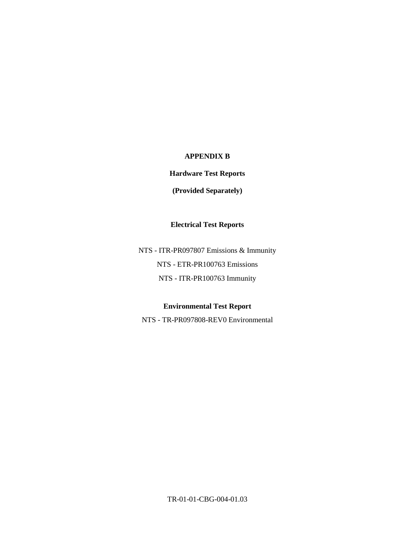### **APPENDIX B**

## **Hardware Test Reports**

### **(Provided Separately)**

### **Electrical Test Reports**

NTS - ITR-PR097807 Emissions & Immunity NTS - ETR-PR100763 Emissions NTS - ITR-PR100763 Immunity

## **Environmental Test Report**

NTS - TR-PR097808-REV0 Environmental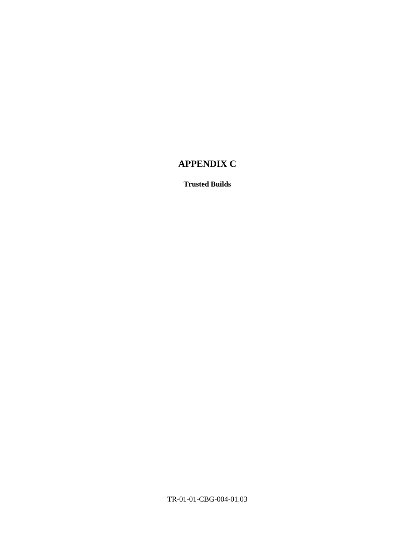# **APPENDIX C**

**Trusted Builds**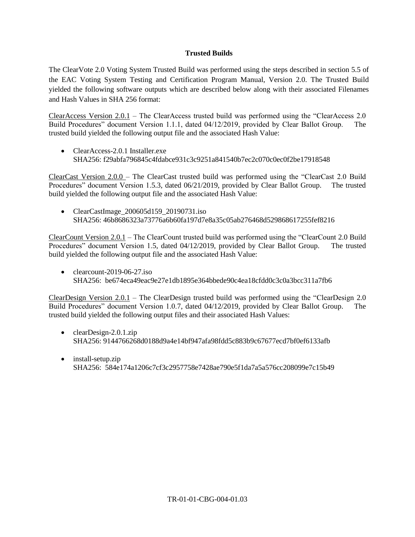#### **Trusted Builds**

The ClearVote 2.0 Voting System Trusted Build was performed using the steps described in section 5.5 of the EAC Voting System Testing and Certification Program Manual, Version 2.0. The Trusted Build yielded the following software outputs which are described below along with their associated Filenames and Hash Values in SHA 256 format:

ClearAccess Version 2.0.1 – The ClearAccess trusted build was performed using the "ClearAccess 2.0 Build Procedures" document Version 1.1.1, dated 04/12/2019, provided by Clear Ballot Group. The trusted build yielded the following output file and the associated Hash Value:

 $\bullet$  ClearAccess-2.0.1 Installer exe SHA256: f29abfa796845c4fdabce931c3c9251a841540b7ec2c070c0ec0f2be17918548

ClearCast Version 2.0.0 – The ClearCast trusted build was performed using the "ClearCast 2.0 Build Procedures" document Version 1.5.3, dated 06/21/2019, provided by Clear Ballot Group. The trusted build yielded the following output file and the associated Hash Value:

• ClearCastImage\_200605d159\_20190731.iso SHA256: 46b8686323a73776a6b60fa197d7e8a35c05ab276468d529868617255fef8216

ClearCount Version 2.0.1 – The ClearCount trusted build was performed using the "ClearCount 2.0 Build Procedures" document Version 1.5, dated 04/12/2019, provided by Clear Ballot Group. The trusted build yielded the following output file and the associated Hash Value:

• clearcount-2019-06-27.iso SHA256: be674eca49eac9e27e1db1895e364bbede90c4ea18cfdd0c3c0a3bcc311a7fb6

ClearDesign Version 2.0.1 – The ClearDesign trusted build was performed using the "ClearDesign 2.0 Build Procedures" document Version 1.0.7, dated 04/12/2019, provided by Clear Ballot Group. The trusted build yielded the following output files and their associated Hash Values:

- $\bullet$  clearDesign-2.0.1.zip SHA256: 9144766268d0188d9a4e14bf947afa98fdd5c883b9c67677ecd7bf0ef6133afb
- install-setup.zip SHA256: 584e174a1206c7cf3c2957758e7428ae790e5f1da7a5a576cc208099e7c15b49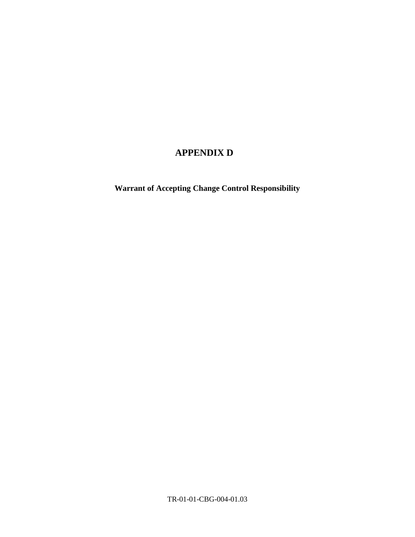# **APPENDIX D**

**Warrant of Accepting Change Control Responsibility**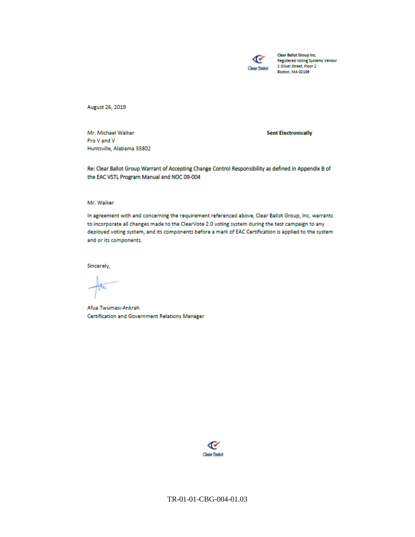

Clear Ballot Group Inc. **Registered Voting Systems Vendor** 2 Oliver Street, Floor 2 Boston, MA 02109

August 26, 2019

Mr. Michael Walker Pro V and V Huntsville, Alabama 35802 **Sent Electronically** 

Re: Clear Ballot Group Warrant of Accepting Change Control Responsibility as defined in Appendix B of the EAC VSTL Program Manual and NOC 09-004

#### Mr. Walker

In agreement with and concerning the requirement referenced above, Clear Ballot Group, Inc. warrants to incorporate all changes made to the ClearVote 2.0 voting system during the test campaign to any deployed voting system, and its components before a mark of EAC Certification is applied to the system and or its components.

Sincerely,

Afua Twumasi-Ankrah **Certification and Government Relations Manager**